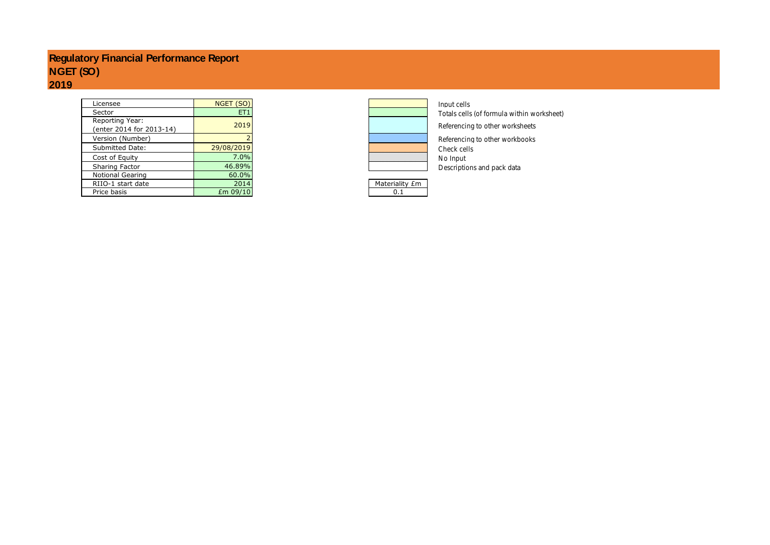# **Regulatory Financial Performance Report NGET (SO) 2019**

| Licensee                                    | NGET (SO)       |                | Input cells  |
|---------------------------------------------|-----------------|----------------|--------------|
| Sector                                      | ET <sub>1</sub> |                | Totals cells |
| Reporting Year:<br>(enter 2014 for 2013-14) | 2019            |                | Referencino  |
| Version (Number)                            |                 |                | Referencing  |
| Submitted Date:                             | 29/08/2019      |                | Check cells  |
| Cost of Equity                              | 7.0%            |                | No Input     |
| Sharing Factor                              | 46.89%          |                | Description  |
| Notional Gearing                            | 60.0%           |                |              |
| RIIO-1 start date                           | 2014            | Materiality £m |              |
| Price basis                                 | Em 09/10        | 0.1            |              |



Totals cells (of formula within worksheet)

Referencing to other worksheets

Referencing to other workbooks<br>Check cells Descriptions and pack data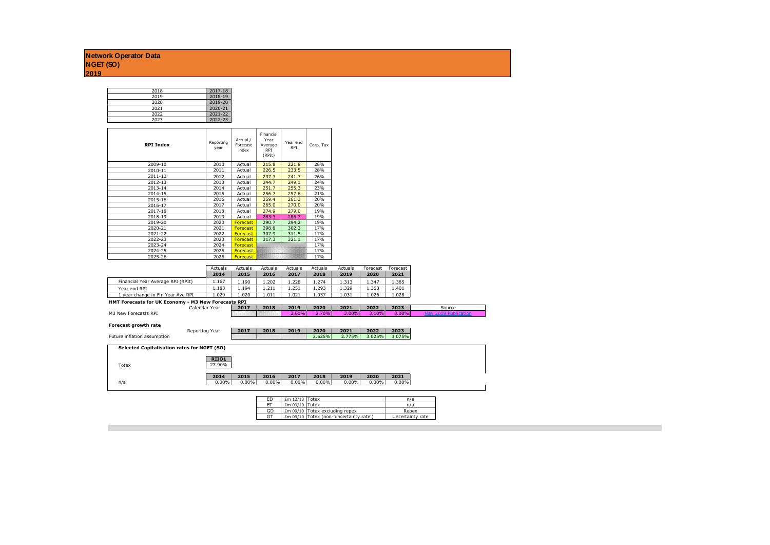| 2018 | 2017-18 |
|------|---------|
| 2019 | 2018-19 |
| 2020 | 2019-20 |
| 2021 | 2020-21 |
| 2022 | 2021-22 |
| 2023 | 2022-23 |

| <b>RPI Index</b> | Reporting<br>year | Actual /<br>Forecast<br>index | Financial<br>Year<br>Average<br><b>RPI</b><br>(RPIt) | Year end<br><b>RPI</b> | Corp. Tax |
|------------------|-------------------|-------------------------------|------------------------------------------------------|------------------------|-----------|
| 2009-10          | 2010              | Actual                        | 215.8                                                | 221.8                  | 28%       |
| 2010-11          | 2011              | Actual                        | 226.5                                                | 233.5                  | 28%       |
| 2011-12          | 2012              | Actual                        | 237.3                                                | 241.7                  | 26%       |
| 2012-13          | 2013              | Actual                        | 244.7                                                | 249.1                  | 24%       |
| 2013-14          | 2014              | Actual                        | 251.7                                                | 255.3                  | 23%       |
| 2014-15          | 2015              | Actual                        | 256.7                                                | 257.6                  | 21%       |
| 2015-16          | 2016              | Actual                        | 259.4                                                | 261.3                  | 20%       |
| 2016-17          | 2017              | Actual                        | 265.0                                                | 270.0                  | 20%       |
| 2017-18          | 2018              | Actual                        | 274.9                                                | 279.0                  | 19%       |
| 2018-19          | 2019              | Actual                        | 283.3                                                | 286.7                  | 19%       |
| 2019-20          | 2020              | Forecast                      | 290.7                                                | 294.2                  | 19%       |
| 2020-21          | 2021              | Forecast                      | 298.8                                                | 302.3                  | 17%       |
| 2021-22          | 2022              | <b>Forecast</b>               | 307.9                                                | 311.5                  | 17%       |
| 2022-23          | 2023              | Forecast                      | 317.3                                                | 321.1                  | 17%       |
| 2023-24          | 2024              | Forecast                      |                                                      |                        | 17%       |
| 2024-25          | 2025              | <b>Forecast</b>               |                                                      |                        | 17%       |
| 2025-26          | 2026              | Forecast                      |                                                      |                        | 17%       |

|                                   | Actuals | Actuals | Actuals | Actuals | Actuals | Actuals | Forecast | Forecast |
|-----------------------------------|---------|---------|---------|---------|---------|---------|----------|----------|
|                                   | 2014    | 2015    | 2016    | 2017    | 2018    | 2019    | 2020     | 2021     |
| Financial Year Average RPI (RPIt) | 1.167   | 190     | .202    | 1.228   | 1.274   | 1.313   | 1.347    | . . 385  |
| Year end RPI                      | .183    | . . 194 | 211     | L.251   | 1.293   | 1.329   | 1.363    | 1.401    |
| 1 year change in Fin Year Aye RPI | 1.029   | 1.020   | 1.011   | 1.021   | 1.037   | 1.031   | 1.026    | 028      |

### **HMT Forecasts for UK Economy - M3 New Forecasts RPI**

|                      | Calendar Year | 2017 | 2018 | 2019     | 2020 | 2021  | 2022  | 2023     | Source |  |  |  |
|----------------------|---------------|------|------|----------|------|-------|-------|----------|--------|--|--|--|
| M3 New Forecasts RPI |               |      |      | $2.60\%$ | 70%  | 3.00% | 3.10% | $3.00\%$ |        |  |  |  |

**Forecast growth rate**

|                             | Reporting Year | 2017 | 2018 | 2019 | 2020   | 2021   | 2022   | 2023   |
|-----------------------------|----------------|------|------|------|--------|--------|--------|--------|
| Future inflation assumption |                |      |      |      | 2.625% | 2.775% | 3.025% | 3.075% |

| Selected Capitalisation rates for NGET (SO) |        |          |          |          |          |       |       |          |
|---------------------------------------------|--------|----------|----------|----------|----------|-------|-------|----------|
|                                             | RIIO1  |          |          |          |          |       |       |          |
| Totex                                       | 27.90% |          |          |          |          |       |       |          |
|                                             |        |          |          |          |          |       |       |          |
|                                             | 2014   | 2015     | 2016     | 2017     | 2018     | 2019  | 2020  | 2021     |
| n/a                                         | 0.00%  | $0.00\%$ | $0.00\%$ | $0.00\%$ | $0.00\%$ | 0.00% | 0.00% | $0.00\%$ |
|                                             |        |          |          |          |          |       |       |          |

| F <sub>D</sub> | $Em 12/13$ Totex |                                         | n/a              |
|----------------|------------------|-----------------------------------------|------------------|
| <b>FT</b>      | $Em 09/10$ Totex |                                         | n/a              |
| GD             |                  | Em 09/10 Totex excluding repex          | Repex            |
| <b>GT</b>      |                  | £m 09/10 Totex (non-'uncertainty rate') | Uncertainty rate |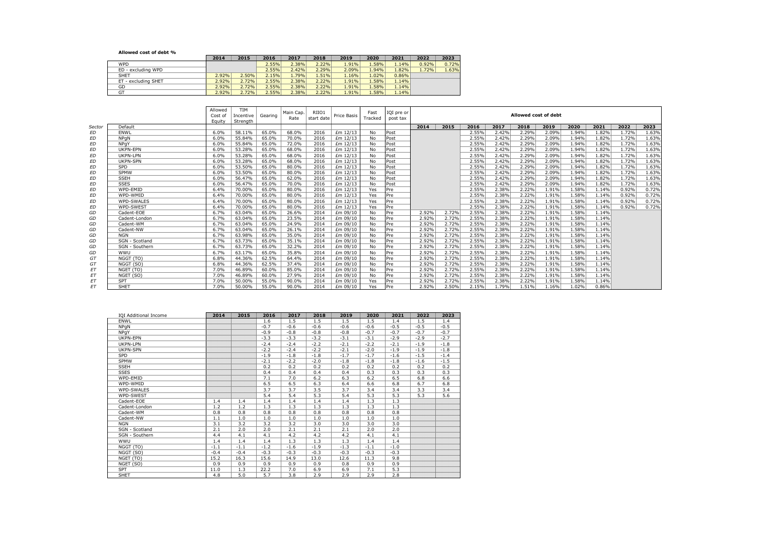**Allowed cost of debt %**

|                     | 2014  | 2015  | 2016  | 2017  | 2018  | 2019  | 2020  | 2021  | 2022  | 2023  |
|---------------------|-------|-------|-------|-------|-------|-------|-------|-------|-------|-------|
| <b>WPD</b>          |       |       | 2.55% | 2.38% | 2.22% | 1.91% | 1.58% | 1.14% | 0.92% | 0.72% |
| ED - excluding WPD  |       |       | 2.55% | 2.42% | 2.29% | 2.09% | 1.94% | 1.82% | 1.72% | 1.63% |
| SHET                | 2.92% | 2.50% | 2.15% | 1.79% | 1.51% | 1.16% | 1.02% | 0.86% |       |       |
| ET - excluding SHET | 2.92% | 2.72% | 2.55% | 2.38% | 2.22% | 1.91% | 1.58% | 1.14% |       |       |
| GD                  | 2.92% | 2.72% | 2.55% | 2.38% | 2.22% | 1.91% | 1.58% | 1.14% |       |       |
| GT                  | 2.92% | 2.72% | 2.55% | 2.38% | 2.22% | 1.91% | 1.58% | 1.14% |       |       |

|           |                   | Allowed<br>Cost of<br>Eauity | TIM<br>Incentive<br>Strenath | Gearing | Main Cap.<br>Rate | RIIO1<br>start date | Price Basis | Fast<br>Tracked | IQI pre or<br>post tax |       |       |       |       |       | Allowed cost of debt |       |       |       |       |
|-----------|-------------------|------------------------------|------------------------------|---------|-------------------|---------------------|-------------|-----------------|------------------------|-------|-------|-------|-------|-------|----------------------|-------|-------|-------|-------|
| Sector    | Default           |                              |                              |         |                   |                     |             |                 |                        | 2014  | 2015  | 2016  | 2017  | 2018  | 2019                 | 2020  | 2021  | 2022  | 2023  |
| ED        | <b>FNWI</b>       | 6.0%                         | 58.11%                       | 65.0%   | 68.0%             | 2016                | £m 12/13    | No.             | Post                   |       |       | 2.55% | 2.42% | 2.29% | 2.09%                | 1.94% | 1.82% | 1.72% | 1.63% |
| <b>ED</b> | <b>NPaN</b>       | 6.0%                         | 55.84%                       | 65.0%   | 70.0%             | 2016                | £m 12/13    | No.             | Post                   |       |       | 2.55% | 2.42% | 2.29% | 2.09%                | 1.94% | 1.82% | 1.72% | 1.63% |
| ED        | NPaY              | 6.0%                         | 55.84%                       | 65.0%   | 72.0%             | 2016                | £m 12/13    | No              | Post                   |       |       | 2.55% | 2.42% | 2.29% | 2.09%                | 1.94% | 1.82% | 1.72% | 1.63% |
| ED        | UKPN-EPN          | 6.0%                         | 53.28%                       | 65.0%   | 68.0%             | 2016                | £m 12/13    | No              | Post                   |       |       | 2.55% | 2.42% | 2.29% | 2.09%                | 1.94% | 1.82% | 1.72% | 1.63% |
| ED        | UKPN-LPN          | 6.0%                         | 53.28%                       | 65.0%   | 68.0%             | 2016                | £m 12/13    | No              | Post                   |       |       | 2.55% | 2.42% | 2.29% | 2.09%                | 1.94% | 1.82% | 1.72% | 1.63% |
| ED        | <b>UKPN-SPN</b>   | 6.0%                         | 53.28%                       | 65.0%   | 68.0%             | 2016                | £m 12/13    | No              | Post                   |       |       | 2.55% | 2.42% | 2.29% | 2.09%                | 1.94% | 1.82% | 1.72% | 1.63% |
| ED        | SPD               | 6.0%                         | 53.50%                       | 65.0%   | 80.0%             | 2016                | £m 12/13    | No              | Post                   |       |       | 2.55% | 2.42% | 2.29% | 2.09%                | 1.94% | 1.82% | 1.72% | 1.63% |
| <b>ED</b> | SPMW              | 6.0%                         | 53.50%                       | 65.0%   | 80.0%             | 2016                | £m 12/13    | No.             | Post                   |       |       | 2.55% | 2.42% | 2.29% | 2.09%                | 1.94% | 1.82% | 1.72% | 1.63% |
| ED        | <b>SSEH</b>       | 6.0%                         | 56.47%                       | 65.0%   | 62.0%             | 2016                | £m 12/13    | No              | Post                   |       |       | 2.55% | 2.42% | 2.29% | 2.09%                | 1.94% | 1.82% | 1.72% | 1.63% |
| ED        | <b>SSES</b>       | 6.0%                         | 56.47%                       | 65.0%   | 70.0%             | 2016                | £m 12/13    | No              | Post                   |       |       | 2.55% | 2.42% | 2.29% | 2.09%                | 1.94% | 1.82% | 1.72% | 1.63% |
| ED        | WPD-FMID          | 6.4%                         | 70.00%                       | 65.0%   | 80.0%             | 2016                | £m 12/13    | Yes             | Pre                    |       |       | 2.55% | 2.38% | 2.22% | 1.91%                | 1.58% | 1.14% | 0.92% | 0.72% |
| ED        | WPD-WMID          | 6.4%                         | 70.00%                       | 65.0%   | 80.0%             | 2016                | £m 12/13    | Yes             | Pre                    |       |       | 2.55% | 2.38% | 2.22% | 1.91%                | 1.58% | 1.14% | 0.92% | 0.72% |
| ЕD        | <b>WPD-SWALES</b> | 6.4%                         | 70.00%                       | 65.0%   | 80.0%             | 2016                | £m 12/13    | Yes             | Pre                    |       |       | 2.55% | 2.38% | 2.22% | 1.91%                | 1.58% | 1.14% | 0.92% | 0.72% |
| ED        | WPD-SWEST         | 6.4%                         | 70.00%                       | 65.0%   | 80.0%             | 2016                | £m 12/13    | Yes             | Pre                    |       |       | 2.55% | 2.38% | 2.22% | 1.91%                | 1.58% | 1.14% | 0.92% | 0.72% |
| GD        | Cadent-EOE        | 6.7%                         | 63.04%                       | 65.0%   | 26.6%             | 2014                | £m 09/10    | No.             | Pre                    | 2.92% | 2.72% | 2.55% | 2.38% | 2.22% | 1.91%                | 1.58% | 1.14% |       |       |
| GD        | Cadent-London     | 6.7%                         | 63.04%                       | 65.0%   | 23.5%             | 2014                | £m 09/10    | No              | Pre                    | 2.92% | 2.72% | 2.55% | 2.38% | 2.22% | 1.91%                | 1.58% | 1.14% |       |       |
| GD        | Cadent-WM         | 6.7%                         | 63.04%                       | 65.0%   | 24.9%             | 2014                | £m 09/10    | No              | Pre                    | 2.92% | 2.72% | 2.55% | 2.38% | 2.22% | 1.91%                | 1.58% | 1.14% |       |       |
| GD        | Cadent-NW         | 6.7%                         | 63.04%                       | 65.0%   | 26.1%             | 2014                | £m 09/10    | No              | Pre                    | 2.92% | 2.72% | 2.55% | 2.38% | 2.22% | 1.91%                | 1.58% | 1.14% |       |       |
| GD        | <b>NGN</b>        | 6.7%                         | 63.98%                       | 65.0%   | 35.0%             | 2014                | £m 09/10    | No              | Pre                    | 2.92% | 2.72% | 2.55% | 2.38% | 2.22% | 1.91%                | 1.58% | 1.14% |       |       |
| GD        | SGN - Scotland    | 6.7%                         | 63.73%                       | 65.0%   | 35.1%             | 2014                | £m 09/10    | No.             | Pre                    | 2.92% | 2.72% | 2.55% | 2.38% | 2.22% | 1.91%                | 1.58% | 1.14% |       |       |
| GD        | SGN - Southern    | 6.7%                         | 63.73%                       | 65.0%   | 32.2%             | 2014                | £m 09/10    | No              | Pre                    | 2.92% | 2.72% | 2.55% | 2.38% | 2.22% | 1.91%                | 1.58% | 1.14% |       |       |
| GD        | WWU               | 6.7%                         | 63.17%                       | 65.0%   | 35.8%             | 2014                | £m 09/10    | No              | Pre                    | 2.92% | 2.72% | 2.55% | 2.38% | 2.22% | 1.91%                | 1.58% | 1.14% |       |       |
| GT        | NGGT (TO)         | 6.8%                         | 44.36%                       | 62.5%   | 64.4%             | 2014                | £m 09/10    | No              | Pre                    | 2.92% | 2.72% | 2.55% | 2.38% | 2.22% | 1.91%                | 1.58% | 1.14% |       |       |
| GT        | NGGT (SO)         | 6.8%                         | 44.36%                       | 62.5%   | 37.4%             | 2014                | £m 09/10    | No.             | Pre                    | 2.92% | 2.72% | 2.55% | 2.38% | 2.22% | 1.91%                | 1.58% | 1.14% |       |       |
| EΤ        | NGET (TO)         | 7.0%                         | 46.89%                       | 60.0%   | 85.0%             | 2014                | £m 09/10    | No              | Pre                    | 2.92% | 2.72% | 2.55% | 2.38% | 2.22% | 1.91%                | 1.58% | 1.14% |       |       |
| EΤ        | NGET (SO)         | 7.0%                         | 46.89%                       | 60.0%   | 27.9%             | 2014                | £m 09/10    | No.             | Pre                    | 2.92% | 2.72% | 2.55% | 2.38% | 2.22% | 1.91%                | 1.58% | 1.14% |       |       |
| ET        | <b>SPT</b>        | 7.0%                         | 50.00%                       | 55.0%   | 90.0%             | 2014                | £m 09/10    | Yes             | Pre                    | 2.92% | 2.72% | 2.55% | 2.38% | 2.22% | 1.91%                | 1.58% | 1.14% |       |       |
| <b>FT</b> | SHET              | 7.0%                         | 50.00%                       | 55.0%   | 90.0%             | 2014                | £m 09/10    | Yes             | Pre                    | 2.92% | 2.50% | 2.15% | 1.79% | 1.51% | 1.16%                | 1.02% | 0.86% |       |       |

| <b>IOI Additional Income</b> | 2014   | 2015   | 2016   | 2017   | 2018   | 2019   | 2020   | 2021   | 2022   | 2023   |
|------------------------------|--------|--------|--------|--------|--------|--------|--------|--------|--------|--------|
| ENWL                         |        |        | 1.6    | 1.5    | 1.5    | 1.5    | 1.5    | 1.4    | 1.5    | 1.4    |
| NPaN                         |        |        | $-0.7$ | $-0.6$ | $-0.6$ | $-0.6$ | $-0.6$ | $-0.5$ | $-0.5$ | $-0.5$ |
| NPqY                         |        |        | $-0.9$ | $-0.8$ | $-0.8$ | $-0.8$ | $-0.7$ | $-0.7$ | $-0.7$ | $-0.7$ |
| UKPN-EPN                     |        |        | $-3.3$ | $-3.3$ | $-3.2$ | $-3.1$ | $-3.1$ | $-2.9$ | $-2.9$ | $-2.7$ |
| UKPN-LPN                     |        |        | $-2.4$ | $-2.4$ | $-2.2$ | $-2.1$ | $-2.2$ | $-2.1$ | $-1.9$ | $-1.8$ |
| <b>UKPN-SPN</b>              |        |        | $-2.2$ | $-2.4$ | $-2.2$ | $-2.1$ | $-2.0$ | $-1.9$ | $-1.9$ | $-1.8$ |
| <b>SPD</b>                   |        |        | $-1.9$ | $-1.8$ | $-1.8$ | $-1.7$ | $-1.7$ | $-1.6$ | $-1.5$ | $-1.4$ |
| <b>SPMW</b>                  |        |        | $-2.1$ | $-2.2$ | $-2.0$ | $-1.8$ | $-1.8$ | $-1.8$ | $-1.6$ | $-1.5$ |
| <b>SSEH</b>                  |        |        | 0.2    | 0.2    | 0.2    | 0.2    | 0.2    | 0.2    | 0.2    | 0.2    |
| <b>SSES</b>                  |        |        | 0.4    | 0.4    | 0.4    | 0.4    | 0.3    | 0.3    | 0.3    | 0.3    |
| WPD-FMID                     |        |        | 7.1    | 7.0    | 6.2    | 6.3    | 6.2    | 6.5    | 6.8    | 6.6    |
| WPD-WMID                     |        |        | 6.5    | 6.5    | 6.3    | 6.4    | 6.6    | 6.8    | 6.7    | 6.8    |
| <b>WPD-SWALES</b>            |        |        | 3.7    | 3.7    | 3.5    | 3.7    | 3.4    | 3.4    | 3.3    | 3.4    |
| WPD-SWEST                    |        |        | 5.4    | 5.4    | 5.3    | 5.4    | 5.3    | 5.3    | 5.3    | 5.6    |
| Cadent-EOE                   | 1.4    | 1.4    | 1.4    | 1.4    | 1.4    | 1.4    | 1.3    | 1.3    |        |        |
| Cadent-London                | 1.2    | 1.2    | 1.3    | 1.3    | 1.3    | 1.3    | 1.3    | 1.3    |        |        |
| Cadent-WM                    | 0.8    | 0.8    | 0.8    | 0.8    | 0.8    | 0.8    | 0.8    | 0.8    |        |        |
| Cadent-NW                    | 1.1    | 1.0    | 1.0    | 1.0    | 1.0    | 1.0    | 1.0    | 1.0    |        |        |
| <b>NGN</b>                   | 3.1    | 3.2    | 3.2    | 3.2    | 3.0    | 3.0    | 3.0    | 3.0    |        |        |
| SGN - Scotland               | 2.1    | 2.0    | 2.0    | 2.1    | 2.1    | 2.1    | 2.0    | 2.0    |        |        |
| SGN - Southern               | 4.4    | 4.1    | 4.1    | 4.2    | 4.2    | 4.2    | 4.1    | 4.1    |        |        |
| WWU                          | 1.4    | 1.4    | 1.4    | 1.3    | 1.3    | 1.3    | 1.4    | 1.4    |        |        |
| NGGT (TO)                    | $-1.1$ | $-1.1$ | $-1.2$ | $-1.6$ | $-1.9$ | $-1.3$ | $-1.1$ | $-1.0$ |        |        |
| NGGT (SO)                    | $-0.4$ | $-0.4$ | $-0.3$ | $-0.3$ | $-0.3$ | $-0.3$ | $-0.3$ | $-0.3$ |        |        |
| NGET (TO)                    | 15.2   | 16.3   | 15.6   | 14.9   | 13.0   | 12.6   | 11.3   | 9.8    |        |        |
| NGET (SO)                    | 0.9    | 0.9    | 0.9    | 0.9    | 0.9    | 0.8    | 0.9    | 0.9    |        |        |
| <b>SPT</b>                   | 11.0   | 1.3    | 22.2   | 7.0    | 6.9    | 6.9    | 7.1    | 5.3    |        |        |
| <b>SHET</b>                  | 4.8    | 5.0    | 5.7    | 3.8    | 2.9    | 2.9    | 2.9    | 2.8    |        |        |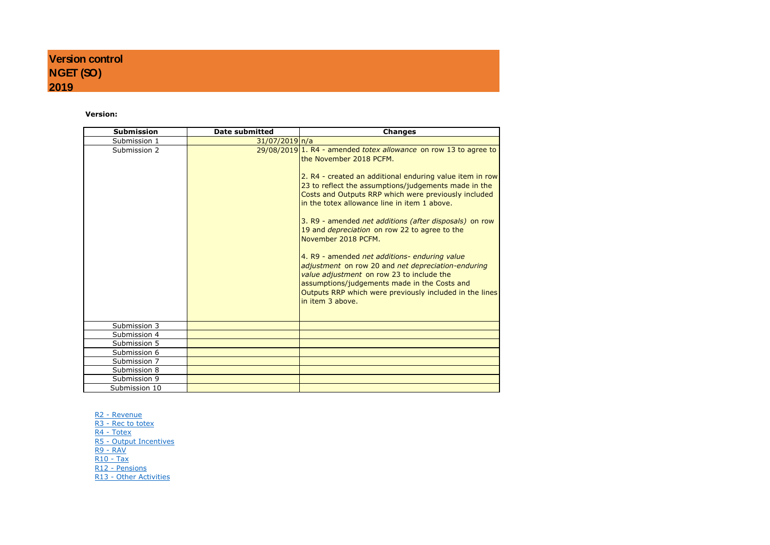# **Version:**

| <b>Submission</b> | <b>Date submitted</b> | <b>Changes</b>                                                                                                                                                                                                                                                                                                                                                                                                                                                                                                                                                                                                                                                                                                                                                    |
|-------------------|-----------------------|-------------------------------------------------------------------------------------------------------------------------------------------------------------------------------------------------------------------------------------------------------------------------------------------------------------------------------------------------------------------------------------------------------------------------------------------------------------------------------------------------------------------------------------------------------------------------------------------------------------------------------------------------------------------------------------------------------------------------------------------------------------------|
| Submission 1      | $31/07/2019 \ln/a$    |                                                                                                                                                                                                                                                                                                                                                                                                                                                                                                                                                                                                                                                                                                                                                                   |
| Submission 2      |                       | $29/08/2019$ <sup>1</sup> . R4 - amended totex allowance on row 13 to agree to<br>the November 2018 PCFM.<br>2. R4 - created an additional enduring value item in row<br>23 to reflect the assumptions/judgements made in the<br>Costs and Outputs RRP which were previously included<br>in the totex allowance line in item 1 above.<br>3. R9 - amended net additions (after disposals) on row<br>19 and <i>depreciation</i> on row 22 to agree to the<br>November 2018 PCFM.<br>4. R9 - amended net additions- enduring value<br>adjustment on row 20 and net depreciation-enduring<br>value adjustment on row 23 to include the<br>assumptions/judgements made in the Costs and<br>Outputs RRP which were previously included in the lines<br>in item 3 above. |
| Submission 3      |                       |                                                                                                                                                                                                                                                                                                                                                                                                                                                                                                                                                                                                                                                                                                                                                                   |
| Submission 4      |                       |                                                                                                                                                                                                                                                                                                                                                                                                                                                                                                                                                                                                                                                                                                                                                                   |
| Submission 5      |                       |                                                                                                                                                                                                                                                                                                                                                                                                                                                                                                                                                                                                                                                                                                                                                                   |
| Submission 6      |                       |                                                                                                                                                                                                                                                                                                                                                                                                                                                                                                                                                                                                                                                                                                                                                                   |
| Submission 7      |                       |                                                                                                                                                                                                                                                                                                                                                                                                                                                                                                                                                                                                                                                                                                                                                                   |
| Submission 8      |                       |                                                                                                                                                                                                                                                                                                                                                                                                                                                                                                                                                                                                                                                                                                                                                                   |
| Submission 9      |                       |                                                                                                                                                                                                                                                                                                                                                                                                                                                                                                                                                                                                                                                                                                                                                                   |
| Submission 10     |                       |                                                                                                                                                                                                                                                                                                                                                                                                                                                                                                                                                                                                                                                                                                                                                                   |

R2 - Revenue R<sub>3</sub> - Rec to totex R4 - Totex R5 - Output Incentives R9 - RAV R10 - Tax R12 - Pensions R13 - Other Activities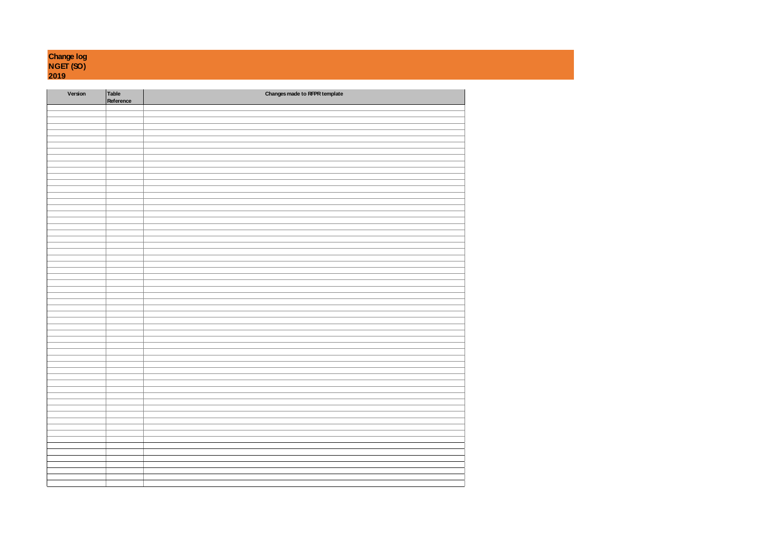| <b>Change log</b> |
|-------------------|
| <b>NGET (SO)</b>  |
| 2019              |

| Version | Table<br>Reference | Changes made to RFPR template |
|---------|--------------------|-------------------------------|
|         |                    |                               |
|         |                    |                               |
|         |                    |                               |
|         |                    |                               |
|         |                    |                               |
|         |                    |                               |
|         |                    |                               |
|         |                    |                               |
|         |                    |                               |
|         |                    |                               |
|         |                    |                               |
|         |                    |                               |
|         |                    |                               |
|         |                    |                               |
|         |                    |                               |
|         |                    |                               |
|         |                    |                               |
|         |                    |                               |
|         |                    |                               |
|         |                    |                               |
|         |                    |                               |
|         |                    |                               |
|         |                    |                               |
|         |                    |                               |
|         |                    |                               |
|         |                    |                               |
|         |                    |                               |
|         |                    |                               |
|         |                    |                               |
|         |                    |                               |
|         |                    |                               |
|         |                    |                               |
|         |                    |                               |
|         |                    |                               |
|         |                    |                               |
|         |                    |                               |
|         |                    |                               |
|         |                    |                               |
|         |                    |                               |
|         |                    |                               |
|         |                    |                               |
|         |                    |                               |
|         |                    |                               |
|         |                    |                               |
|         |                    |                               |
|         |                    |                               |
|         |                    |                               |
|         |                    |                               |
|         |                    |                               |
|         |                    |                               |
|         |                    |                               |
|         |                    |                               |
|         |                    |                               |
|         |                    |                               |
|         |                    |                               |
|         |                    |                               |
|         |                    |                               |
|         |                    |                               |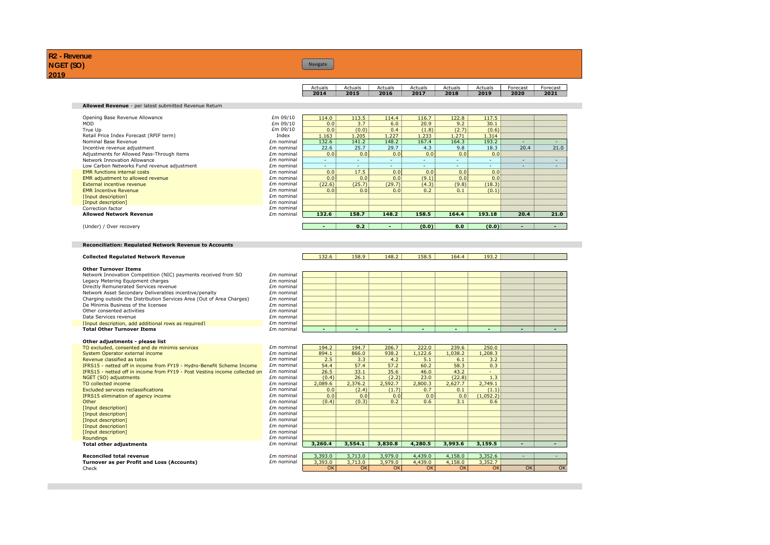# Navigate

| Actuals | Actuals     | Actuals | Actuals | Actuals | Actuals | Forecast | Forecast |
|---------|-------------|---------|---------|---------|---------|----------|----------|
| 2014    | <b>2015</b> | 2016    | 2017    | 2018    | 2019    | 2020     | 2021     |

# **Allowed Revenue** - per latest submitted Revenue Return

| Opening Base Revenue Allowance              | £m 09/10   | 114.0  | 113.5            | 114.4  | 116.7 | 122.8  | 117.5                    |      |      |
|---------------------------------------------|------------|--------|------------------|--------|-------|--------|--------------------------|------|------|
| <b>MOD</b>                                  | £m 09/10   | 0.0    | 3.7              | 6.0    | 20.9  | 9.2    | 30.1                     |      |      |
| True Up                                     | £m 09/10   | 0.0    | (0.0)            | 0.4    | (1.8) | (2.7)  | (0.6)                    |      |      |
| Retail Price Index Forecast (RPIF term)     | Index      | 1.163  | 1.205            | 1.227  | 1.233 | .271   | 1.314                    |      |      |
| Nominal Base Revenue                        | £m nominal | 132.6  | 141.2            | 148.2  | 167.4 | 164.3  | 193.2                    | n.   |      |
| Incentive revenue adjustment                | £m nominal | 22.6   | 25.7             | 29.7   | 4.3   | 9.8    | 18.3                     | 20.4 | 21.0 |
| Adjustments for Allowed Pass-Through items  | £m nominal | 0.0    | 0.0              | 0.0    | 0.0   | 0.0    | 0.0                      |      |      |
| Network Innovation Allowance                | £m nominal |        | $\sim$           | $\sim$ | ۰     | $\sim$ | $\overline{\phantom{a}}$ | n.   | w    |
| Low Carbon Networks Fund revenue adjustment | £m nominal | ۰.     | $\sim$           |        | ۰.    | $\sim$ | $\sim$                   | m    |      |
| <b>EMR</b> functions internal costs         | £m nominal | 0.0    | 17.5             | 0.0    | 0.0   | 0.0    | 0.0                      |      |      |
| EMR adjustment to allowed revenue           | £m nominal | 0.0    | 0.0              | 0.0    | (9.1) | 0.0    | 0.0                      |      |      |
| External incentive revenue                  | £m nominal | (22.6) | (25.7)           | (29.7) | (4.3) | (9.8)  | (18.3)                   |      |      |
| <b>EMR Incentive Revenue</b>                | £m nominal | 0.0    | 0.0              | 0.0    | 0.2   | 0.1    | (0.1)                    |      |      |
| [Input description]                         | £m nominal |        |                  |        |       |        |                          |      |      |
| [Input description]                         | £m nominal |        |                  |        |       |        |                          |      |      |
| Correction factor                           | £m nominal |        |                  |        |       |        |                          |      |      |
| <b>Allowed Network Revenue</b>              | £m nominal | 132.6  | 158.7            | 148.2  | 158.5 | 164.4  | 193.18                   | 20.4 | 21.0 |
|                                             |            |        |                  |        |       |        |                          |      |      |
| (Under) / Over recovery                     |            |        | 0.2 <sub>1</sub> |        | (0.0) | 0.0    | (0.0)                    | ×    |      |

# **Reconciliation: Regulated Network Revenue to Accounts**

### **Other Turnover Items**

| Network Innovation Competition (NIC) payments received from SO        | Em nominal |
|-----------------------------------------------------------------------|------------|
| Legacy Metering Equipment charges                                     | £m nominal |
| Directly Remunerated Services revenue                                 | £m nominal |
| Network Asset Secondary Deliverables incentive/penalty                | £m nominal |
| Charging outside the Distribution Services Area (Out of Area Charges) | £m nominal |
| De Minimis Business of the licensee                                   | £m nominal |
| Other consented activities                                            | £m nominal |
| Data Services revenue                                                 | £m nominal |
| [Input description, add additional rows as required]                  | £m nominal |
| <b>Total Other Turnover Items</b>                                     | £m nominal |
|                                                                       |            |

### **Other adjustments - please list**

| TO excluded, consented and de minimis services                             | £m nominal |
|----------------------------------------------------------------------------|------------|
| System Operator external income                                            | £m nominal |
| Revenue classified as totex                                                | £m nominal |
| IFRS15 - netted off in income from FY19 - Hydro-Benefit Scheme Income      | £m nominal |
| IFRS15 - netted off in income from FY19 - Post Vesting income collected on | £m nominal |
| NGET (SO) adjustments                                                      | £m nominal |
| TO collected income                                                        | £m nominal |
| <b>Excluded services reclassifications</b>                                 | £m nominal |
| IFRS15 elimination of agency income                                        | £m nominal |
| Other                                                                      | £m nominal |
| [Input description]                                                        | £m nominal |
| [Input description]                                                        | £m nominal |
| [Input description]                                                        | £m nominal |
| [Input description]                                                        | £m nominal |
| [Input description]                                                        | £m nominal |
| Roundings                                                                  | £m nominal |
| <b>Total other adjustments</b>                                             | £m nominal |
|                                                                            |            |
| <b>Reconciled total revenue</b>                                            | £m nominal |

**Collected Regulated Network Revenue** 132.6 158.9 148.2 158.5 164.4 193.2

| nominal            |  |  |  |  |
|--------------------|--|--|--|--|
| nominal            |  |  |  |  |
| nominal            |  |  |  |  |
| nominal<br>nominal |  |  |  |  |
|                    |  |  |  |  |
| nominal            |  |  |  |  |
| nominal            |  |  |  |  |
| nominal            |  |  |  |  |
| nominal            |  |  |  |  |
| nominal            |  |  |  |  |

| TO excluded, consented and de minimis services                             | £m nominal | 194.2   | 194.7   | 206.7   | 222.0   | 239.6   | 250.0     |  |
|----------------------------------------------------------------------------|------------|---------|---------|---------|---------|---------|-----------|--|
| System Operator external income                                            | £m nominal | 894.1   | 866.0   | 938.2   | 1.122.6 | 1.038.2 | 1,208.3   |  |
| Revenue classified as totex                                                | £m nominal | 2.5     | 3.3     | 4.2     | 5.1     | 6.1     | 3.2       |  |
| IFRS15 - netted off in income from FY19 - Hydro-Benefit Scheme Income      | Em nominal | 54.4    | 57.4    | 57.2    | 60.2    | 58.3    | 0.3       |  |
| IFRS15 - netted off in income from FY19 - Post Vesting income collected on | Em nominal | 26.5    | 33.1    | 35.6    | 46.0    | 43.2    | -         |  |
| NGET (SO) adjustments                                                      | £m nominal | (0.4)   | 26.1    | (2.2)   | 23.0    | (22.8)  | 1.3       |  |
| TO collected income                                                        | £m nominal | 2.089.6 | 2,376.2 | 2.592.7 | 2,800.3 | 2.627.7 | 2,749.1   |  |
| <b>Excluded services reclassifications</b>                                 | £m nominal | 0.0     | (2.4)   | (1.7)   | 0.7     | 0.1     | (1.1)     |  |
| IFRS15 elimination of agency income                                        | £m nominal | 0.0     | 0.0     | 0.0     | 0.0     | 0.0     | (1,052.2) |  |
| Other                                                                      | £m nominal | (0.4)   | (0.3)   | 0.2     | 0.6     | 3.1     | 0.6       |  |
| [Input description]                                                        | £m nominal |         |         |         |         |         |           |  |
| [Input description]                                                        | £m nominal |         |         |         |         |         |           |  |
| [Input description]                                                        | £m nominal |         |         |         |         |         |           |  |
| [Input description]                                                        | £m nominal |         |         |         |         |         |           |  |
| [Input description]                                                        | £m nominal |         |         |         |         |         |           |  |
| Roundinas                                                                  | £m nominal |         |         |         |         |         |           |  |
| Total other adiustments                                                    | £m nominal | 3,260.4 | 3.554.1 | 3,830.8 | 4,280.5 | 3,993.6 | 3,159.5   |  |

| <b>Reconciled total revenue</b>            | £m nomina | 3,393.0 | 3.713.0 | 3,979.0        | 4,439.0 | .158.0 | 22526<br>3.35Z.D       |    |    |
|--------------------------------------------|-----------|---------|---------|----------------|---------|--------|------------------------|----|----|
| Turnover as per Profit and Loss (Accounts) | nomina    | 3,393.0 | 3.713.0 | .979.0<br>J.7T | .439.0  | .158.0 | $2.252 - 1$<br>3.352.7 |    |    |
| Check                                      |           | OK      | OK.     | $\sim$<br>UN   | OK      | окі    | OK                     | OK | OK |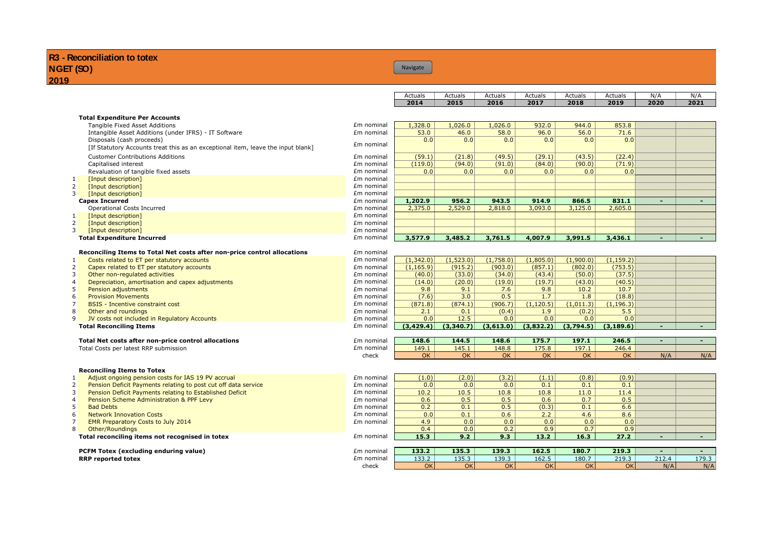# Navigate

| Actuals | Actuals | Actuals | Actuals | Actuals | Actuals | N/f  | N/f  |
|---------|---------|---------|---------|---------|---------|------|------|
| 2014    | 2015    | 2016    | 2017    | 2018    | 2019    | 2020 | 2021 |

|                | <b>Total Expenditure Per Accounts</b>                                            |            |            |           |           |            |           |                  |       |                 |
|----------------|----------------------------------------------------------------------------------|------------|------------|-----------|-----------|------------|-----------|------------------|-------|-----------------|
|                | Tangible Fixed Asset Additions                                                   | £m nominal | 1,328.0    | 1,026.0   | 1,026.0   | 932.0      | 944.0     | 853.8            |       |                 |
|                | Intangible Asset Additions (under IFRS) - IT Software                            | £m nominal | 53.0       | 46.0      | 58.0      | 96.0       | 56.0      | 71.6             |       |                 |
|                | Disposals (cash proceeds)                                                        |            | 0.0        | 0.0       | 0.0       | 0.0        | 0.0       | 0.0              |       |                 |
|                | [If Statutory Accounts treat this as an exceptional item, leave the input blank] | £m nominal |            |           |           |            |           |                  |       |                 |
|                | <b>Customer Contributions Additions</b>                                          | £m nominal | (59.1)     | (21.8)    | (49.5)    | (29.1)     | (43.5)    | (22.4)           |       |                 |
|                |                                                                                  | £m nominal |            | (94.0)    | (91.0)    |            | (90.0)    | (71.9)           |       |                 |
|                | Capitalised interest                                                             |            | (119.0)    |           |           | (84.0)     |           |                  |       |                 |
|                | Revaluation of tangible fixed assets                                             | £m nominal | 0.0        | 0.0       | 0.0       | 0.0        | 0.0       | 0.0              |       |                 |
| 1              | [Input description]                                                              | £m nominal |            |           |           |            |           |                  |       |                 |
| 2              | [Input description]                                                              | £m nominal |            |           |           |            |           |                  |       |                 |
| 3 <sup>1</sup> | [Input description]                                                              | £m nominal |            |           |           |            |           |                  |       |                 |
|                | <b>Capex Incurred</b>                                                            | £m nominal | 1,202.9    | 956.2     | 943.5     | 914.9      | 866.5     | 831.1            |       |                 |
|                | Operational Costs Incurred                                                       | £m nominal | 2,375.0    | 2,529.0   | 2,818.0   | 3,093.0    | 3,125.0   | 2,605.0          |       |                 |
| 1              | [Input description]                                                              | £m nominal |            |           |           |            |           |                  |       |                 |
| 2              | [Input description]                                                              | £m nominal |            |           |           |            |           |                  |       |                 |
| $\overline{3}$ | [Input description]                                                              | £m nominal |            |           |           |            |           |                  |       |                 |
|                | <b>Total Expenditure Incurred</b>                                                | £m nominal | 3,577.9    | 3,485.2   | 3,761.5   | 4,007.9    | 3,991.5   | 3,436.1          |       |                 |
|                |                                                                                  |            |            |           |           |            |           |                  |       |                 |
|                | Reconciling Items to Total Net costs after non-price control allocations         | £m nominal |            |           |           |            |           |                  |       |                 |
| 1              | Costs related to ET per statutory accounts                                       | £m nominal | (1,342.0)  | (1,523.0) | (1,758.0) | (1,805.0)  | (1,900.0) | (1, 159.2)       |       |                 |
| 2              | Capex related to ET per statutory accounts                                       | £m nominal | (1, 165.9) | (915.2)   | (903.0)   | (857.1)    | (802.0)   | (753.5)          |       |                 |
| $\overline{3}$ | Other non-regulated activities                                                   | £m nominal | (40.0)     | (33.0)    | (34.0)    | (43.4)     | (50.0)    | (37.5)           |       |                 |
| $\overline{4}$ | Depreciation, amortisation and capex adjustments                                 | £m nominal | (14.0)     | (20.0)    | (19.0)    | (19.7)     | (43.0)    | (40.5)           |       |                 |
| 5              | Pension adjustments                                                              | £m nominal | 9.8        | 9.1       | 7.6       | 9.8        | 10.2      | 10.7             |       |                 |
| 6              |                                                                                  |            |            | 3.0       | 0.5       | 1.7        | 1.8       |                  |       |                 |
|                | <b>Provision Movements</b>                                                       | £m nominal | (7.6)      |           |           |            |           | (18.8)           |       |                 |
| $\overline{7}$ | <b>BSIS</b> - Incentive constraint cost                                          | £m nominal | (871.8)    | (874.1)   | (906.7)   | (1, 120.5) | (1,011.3) | (1, 196.3)       |       |                 |
| 8              | Other and roundings                                                              | £m nominal | 2.1        | 0.1       | (0.4)     | 1.9        | (0.2)     | 5.5              |       |                 |
| 9              | JV costs not included in Regulatory Accounts                                     | £m nominal | 0.0        | 12.5      | 0.0       | 0.0        | 0.0       | 0.0              |       |                 |
|                | <b>Total Reconciling Items</b>                                                   | £m nominal | (3,429.4)  | (3,340.7) | (3,613.0) | (3,832.2)  | (3,794.5) | (3, 189.6)       |       | <u>M</u>        |
|                |                                                                                  |            |            |           |           |            |           |                  |       |                 |
|                | Total Net costs after non-price control allocations                              | £m nominal | 148.6      | 144.5     | 148.6     | 175.7      | 197.1     | 246.5            |       | <u>M</u> M      |
|                | Total Costs per latest RRP submission                                            | £m nominal | 149.1      | 145.1     | 148.8     | 175.8      | 197.1     | 246.4            |       |                 |
|                |                                                                                  | check      | OK         | <b>OK</b> | OK        | OK         | <b>OK</b> | OK               | N/A   | N/A             |
|                |                                                                                  |            |            |           |           |            |           |                  |       |                 |
|                | <b>Reconciling Items to Totex</b>                                                |            |            |           |           |            |           |                  |       |                 |
| 1              | Adjust ongoing pension costs for IAS 19 PV accrual                               | £m nominal | (1.0)      | (2.0)     | (3.2)     | (1.1)      | (0.8)     | (0.9)            |       |                 |
| 2              | Pension Deficit Payments relating to post cut off data service                   | £m nominal | 0.0        | 0.0       | 0.0       | 0.1        | 0.1       | 0.1              |       |                 |
| 3              | Pension Deficit Payments relating to Established Deficit                         | £m nominal | 10.2       | 10.5      | 10.8      | 10.8       | 11.0      | 11.4             |       |                 |
| $\overline{4}$ | Pension Scheme Administration & PPF Levy                                         | £m nominal | 0.6        | 0.5       | 0.5       | 0.6        | 0.7       | 0.5              |       |                 |
| 5              | <b>Bad Debts</b>                                                                 | £m nominal | 0.2        | 0.1       | 0.5       | (0.3)      | 0.1       | 6.6              |       |                 |
| 6              | <b>Network Innovation Costs</b>                                                  | £m nominal | 0.0        | 0.1       | 0.6       | 2.2        | 4.6       | 8.6              |       |                 |
| $\overline{7}$ | EMR Preparatory Costs to July 2014                                               | £m nominal | 4.9        | 0.0       | 0.0       | 0.0        | 0.0       | $\overline{0.0}$ |       |                 |
| 8              | Other/Roundings                                                                  |            | 0.4        | 0.0       | 0.2       | 0.9        | 0.7       | 0.9              |       |                 |
|                | Total reconciling items not recognised in totex                                  | £m nominal | 15.3       | 9.2       | 9.3       | 13.2       | 16.3      | 27.2             |       | <u>Mill</u>     |
|                |                                                                                  |            |            |           |           |            |           |                  |       |                 |
|                | PCFM Totex (excluding enduring value)                                            | £m nominal | 133.2      | 135.3     | 139.3     | 162.5      | 180.7     | 219.3            | VIII. | <u>Mahili I</u> |
|                | <b>RRP</b> reported totex                                                        | £m nominal | 133.2      | 135.3     | 139.3     | 162.5      | 180.7     | 219.3            | 212.4 | 179.3           |
|                |                                                                                  | check      | OK         | OK        | OK        | <b>OK</b>  | <b>OK</b> | OK               | N/A   | N/A             |
|                |                                                                                  |            |            |           |           |            |           |                  |       |                 |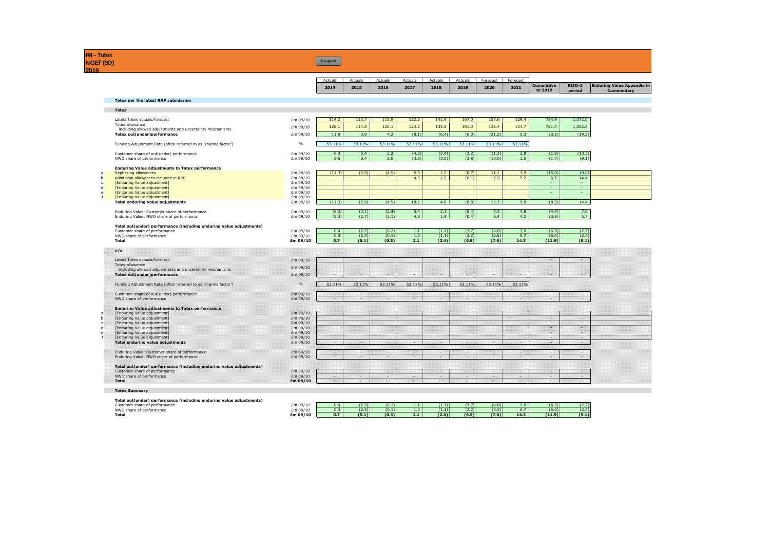**R4 - Totex NGET (SO)**

**Navigate** 

|                                                                                           |                      | Actuals<br>2014 | Actuals<br>2015 | Actuals<br>2016 | Actuals<br>2017 | Actuals<br>2018 | Actuals<br>2019 | Forecast<br>2020 | Forecast<br>2021 | Cumulative                | RIIO-1         | <b>Enduring Value Appendix in</b> |
|-------------------------------------------------------------------------------------------|----------------------|-----------------|-----------------|-----------------|-----------------|-----------------|-----------------|------------------|------------------|---------------------------|----------------|-----------------------------------|
|                                                                                           |                      |                 |                 |                 |                 |                 |                 |                  |                  | to 2019                   | period         | Commentary                        |
| <b>Totex per the latest RRP submission</b>                                                |                      |                 |                 |                 |                 |                 |                 |                  |                  |                           |                |                                   |
| <b>Totex</b>                                                                              |                      |                 |                 |                 |                 |                 |                 |                  |                  |                           |                |                                   |
| Latest Totex actuals/forecast                                                             | £m 09/10             | 114.2           | 113.7           | 115.9           | 132.3           | 141.9           | 167.0           | 157.6            | 129.4            | 784.9                     | 1,072.0        |                                   |
| Totex allowance<br>including allowed adjustments and uncertainty mechanisms               | £m 09/10             | 126.1           | 114.5           | 120.1           | 124.2           | 135.5           | 161.0           | 136.4            | 134.7            | 781.4                     | 1,052.5        |                                   |
| Totex out(under)performance                                                               | £m 09/10             | 11.9            | 0.8             | 4.2             | (8.1)           | (6.4)           | (6.0)           | (21.2)           | 5.3              | (3.5)                     | (19.5)         |                                   |
| Funding Adjustment Rate (often referred to as 'sharing factor')                           | $\%$                 | 53.11%          | 53.11%          | 53.11%          | 53.11%          | 53.11%          | 53.11%          | 53.11%           | 53.11%           |                           |                |                                   |
| Customer share of out(under) performance                                                  | £m 09/10             | 6.3             | 0.4             | 2.2             | (4.3)           | (3.4)           | (3.2)           | (11.3)           | 2.8              | (1.9)                     | (10.3)         |                                   |
| NWO share of performance                                                                  | £m 09/10             | 5.6             | 0.4             | 2.0             | (3.8)           | (3.0)           | (2.8)           | (10.0)           | 2.5              | (1.7)                     | (9.1)          |                                   |
| <b>Enduring Value adjustments to Totex performance</b>                                    |                      |                 |                 |                 |                 |                 |                 |                  |                  |                           |                |                                   |
| Rephasing allowances                                                                      | £m 09/10             | (11.3)          | (5.9)           | (4.5)           | 5.9             | 1.5             | (0.7)           | 11.1             | 3.9              | (15.0)                    | (0.0)          |                                   |
| Additional allowances included in RRP<br><b>[Enduring Value adjustment]</b>               | £m 09/10<br>£m 09/10 | $\sim$          | $\sim$          | $\sim$          | 4.3             | 2.5             | (0.1)           | 2.5              | 5.2              | 6.7<br>$\Delta \sim 10^4$ | 14.4<br>$\sim$ |                                   |
| [Enduring Value adjustment]                                                               | £m 09/10             |                 |                 |                 |                 |                 |                 |                  |                  | $\Delta \sim 10$          | $\sim$         |                                   |
| [Enduring Value adjustment]                                                               | £m 09/10             |                 |                 |                 |                 |                 |                 |                  |                  | $\sim$                    | a.             |                                   |
| <b>[Enduring Value adjustment]</b>                                                        | £m 09/10             |                 |                 |                 |                 |                 |                 |                  |                  |                           |                |                                   |
| <b>Total enduring value adjustments</b>                                                   | £m 09/10             | (11.3)          | (5.9)           | (4.5)           | 10.2            | 4.0             | (0.8)           | 13.7             | 9.0              | (8.3)                     | 14.4           |                                   |
| Enduring Value: Customer share of performance<br>Enduring Value: NWO share of performance | £m 09/10<br>£m 09/10 | (6.0)<br>(5.3)  | (3.1)<br>(2.7)  | (2.4)<br>(2.1)  | 5.4<br>4.8      | 2.1<br>1.9      | (0.4)<br>(0.4)  | 7.3<br>6.4       | 4.8<br>4.2       | (4.4)<br>(3.9)            | 7.6<br>6.7     |                                   |
| Total out(under) performance (including enduring value adjustments)                       |                      |                 |                 |                 |                 |                 |                 |                  |                  |                           |                |                                   |
| Customer share of performance                                                             | £m 09/10             | 0.4             | (2.7)           | (0.2)           | $1.1$           | (1.3)           | (3.7)           | (4.0)            | 7.6              | (6.3)                     | (2.7)          |                                   |
| NWO share of performance                                                                  | £m 09/10             | 0.3             | (2.4)           | (0.1)           | 1.0             | (1.1)           | (3.2)           | (3.5)            | 6.7              | (5.6)                     | (2.4)          |                                   |
| Total                                                                                     | £m 09/10             | 0.7             | (5.1)           | (0.3)           | 2.1             | (2.4)           | (6.9)           | (7.6)            | 14.3             | (11.9)                    | (5.1)          |                                   |
| n/a                                                                                       |                      |                 |                 |                 |                 |                 |                 |                  |                  |                           |                |                                   |
| Latest Totex actuals/forecast                                                             | £m 09/10             |                 |                 |                 |                 |                 |                 |                  |                  |                           |                |                                   |
| Totex allowance                                                                           | Em 09/10             |                 |                 |                 |                 |                 |                 |                  |                  |                           |                |                                   |
| including allowed adjustments and uncertainty mechanisms                                  |                      |                 |                 |                 |                 |                 |                 |                  |                  |                           |                |                                   |
| <b>Totex out(under)performance</b>                                                        | £m 09/10             |                 |                 |                 |                 |                 |                 |                  |                  |                           |                |                                   |
| Funding Adjustment Rate (often referred to as 'sharing factor')                           | $\%$                 | 53.11%          | 53.11%          | 53.11%          | 53.11%          | 53.11%          | 53.11%          | 53.11%           | 53.11%           |                           |                |                                   |
| Customer share of out(under) performance                                                  | £m 09/10             | 9727<br>929     | 929<br>V20.     | 9920<br>929     | 920<br>921      | 9949<br>949     | 929<br>949      | 9747<br>VLV.     | U.<br>m          | 920<br>VD.                | 9299<br>920    |                                   |
| NWO share of performance                                                                  | £m 09/10             |                 |                 |                 |                 |                 |                 |                  |                  |                           |                |                                   |
| <b>Enduring Value adjustments to Totex performance</b><br>[Enduring Value adjustment]     | £m 09/10             |                 |                 |                 |                 |                 |                 |                  |                  |                           | 92)            |                                   |
| [Enduring Value adjustment]                                                               | Em 09/10             |                 |                 |                 |                 |                 |                 |                  |                  | W)                        | 94)            |                                   |
| [Enduring Value adjustment]                                                               | £m 09/10             |                 |                 |                 |                 |                 |                 |                  |                  | 92                        | 949            |                                   |
| [Enduring Value adjustment]                                                               | £m 09/10             |                 |                 |                 |                 |                 |                 |                  |                  | n                         | m              |                                   |
| [Enduring Value adjustment]                                                               | Em 09/10             |                 |                 |                 |                 |                 |                 |                  |                  | W                         | 949            |                                   |
|                                                                                           | £m 09/10<br>£m 09/10 |                 |                 |                 |                 |                 |                 |                  |                  | w                         | 94             |                                   |
| [Enduring Value adjustment]                                                               |                      | 920             | 929             | 920             | 920             | 920             | 929             | 926              | Us.              | 920                       | 929            |                                   |
| <b>Total enduring value adjustments</b>                                                   |                      |                 |                 | U.              | U.              | 920             | 920             | 920<br>UD.       | U.               | U.                        | 929<br>926     |                                   |
| Enduring Value: Customer share of performance                                             | Em 09/10             | 920<br>920      | 921<br>V20.     | m               | IU.             | W)              | W)              |                  |                  |                           |                |                                   |
| Enduring Value: NWO share of performance                                                  | Em 09/10             |                 |                 |                 |                 |                 |                 |                  |                  |                           |                |                                   |
| Total out(under) performance (including enduring value adjustments)                       |                      |                 |                 |                 |                 |                 |                 |                  |                  |                           |                |                                   |
| Customer share of performance                                                             | Em 09/10             | 920             | W               | U.              | 920             | 920             | W)              | W                | U)               | 920                       | 920            |                                   |
| NWO share of performance<br>Total                                                         | £m 09/10<br>Em 09/10 | W<br>949        | 92<br>W         | Us.<br>w        | Us.<br>U,       | W<br>940        | W)<br>44        | V4.<br>W         | Ú,<br>U.         | U.<br>V2                  | 920<br>UM.     |                                   |

| Total out(under) performance (including enduring value adjustments). |          |     |       |       |     |       |       |       |      |        |       |
|----------------------------------------------------------------------|----------|-----|-------|-------|-----|-------|-------|-------|------|--------|-------|
| Customer share of performance                                        | Em 09/10 |     | (2.7) | (0.2) | .   | (1.3) | (3.7) | (4.0) | 7.6  | (6.3)  | (2.7) |
| NWO share of performance                                             | Em 09/10 |     | (2.4) | (0.1) | 1.0 | (1.1) | (3.2) | (3.5) |      | (5.6)  | (2.4) |
| Total                                                                | £m 09/10 | 0.7 | (5.1) | (0.3) | 2.1 | (2.4) | (6.9) | (7.6) | 14.3 | (11.9) | (5.1) |
|                                                                      |          |     |       |       |     |       |       |       |      |        |       |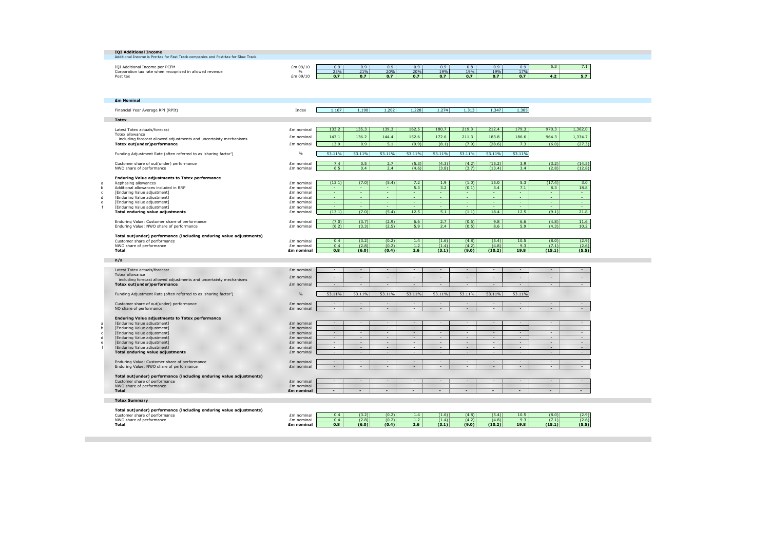|              | <b>IOI Additional Income</b>                                                       |                          |        |                |        |        |        |                          |          |          |          |         |
|--------------|------------------------------------------------------------------------------------|--------------------------|--------|----------------|--------|--------|--------|--------------------------|----------|----------|----------|---------|
|              | Additional Income is Pre-tax for Fast Track companies and Post-tax for Slow Track. |                          |        |                |        |        |        |                          |          |          |          |         |
|              | IOI Additional Income per PCFM                                                     | £m 09/10                 | 0.9    | 0.9            | 0.9    | 0.9    | 0.9    | 0.8                      | 0.9      | 0.9      | 5.3      |         |
|              |                                                                                    |                          | 23%    | 21%            | 20%    | 20%    | 19%    | 19%                      | 19%      | 17%      |          | 7.1     |
|              | Corporation tax rate when recognised in allowed revenue                            | $\%$<br>£m 09/10         | 0.7    | 0.7            | 0.7    | 0.7    | 0.7    | 0.7                      | 0.7      | 0.7      | 4.2      | 5.7     |
|              | Post tax                                                                           |                          |        |                |        |        |        |                          |          |          |          |         |
|              |                                                                                    |                          |        |                |        |        |        |                          |          |          |          |         |
|              |                                                                                    |                          |        |                |        |        |        |                          |          |          |          |         |
|              |                                                                                    |                          |        |                |        |        |        |                          |          |          |          |         |
|              | <b>£m Nominal</b>                                                                  |                          |        |                |        |        |        |                          |          |          |          |         |
|              |                                                                                    |                          |        |                |        |        |        |                          |          |          |          |         |
|              | Financial Year Average RPI (RPIt)                                                  | Index                    | 1.167  | 1.190          | 1.202  | 1.228  | 1.274  | 1.313                    | 1.347    | 1.385    |          |         |
|              |                                                                                    |                          |        |                |        |        |        |                          |          |          |          |         |
| <b>Totex</b> |                                                                                    |                          |        |                |        |        |        |                          |          |          |          |         |
|              |                                                                                    |                          |        |                |        |        |        |                          |          |          |          |         |
|              | Latest Totex actuals/forecast                                                      | Em nominal               | 133.2  | 135.3          | 139.3  | 162.5  | 180.7  | 219.3                    | 212.4    | 179.3    | 970.3    | 1,362.0 |
|              | <b>Totex allowance</b>                                                             | £m nominal               | 147.1  | 136.2          | 144.4  | 152.6  | 172.6  | 211.3                    | 183.8    | 186.6    | 964.3    | 1,334.7 |
|              | including forecast allowed adjustments and uncertainty mechanisms                  |                          |        |                |        |        |        |                          |          |          |          |         |
|              | Totex out(under)performance                                                        | Em nominal               | 13.9   | 0.9            | 5.1    | (9.9)  | (8.1)  | (7.9)                    | (28.6)   | 7.3      | (6.0)    | (27.3)  |
|              |                                                                                    |                          |        |                |        |        |        |                          |          |          |          |         |
|              | Funding Adjustment Rate (often referred to as 'sharing factor')                    | %                        | 53.11% | 53.11%         | 53.11% | 53.11% | 53.11% | 53.11%                   | 53.11%   | 53.11%   |          |         |
|              |                                                                                    |                          |        |                |        |        |        |                          |          |          |          |         |
|              | Customer share of out(under) performance                                           | Em nominal               | 7.4    | 0.5            | 2.7    | (5.3)  | (4.3)  | (4.2)                    | (15.2)   | 3.9      | (3.2)    | (14.5)  |
|              | NWO share of performance                                                           | £m nominal               | 6.5    | 0.4            | 2.4    | (4.6)  | (3.8)  | (3.7)                    | (13.4)   | 3.4      | (2.8)    | (12.8)  |
|              |                                                                                    |                          |        |                |        |        |        |                          |          |          |          |         |
|              | <b>Enduring Value adjustments to Totex performance</b>                             |                          | (13.1) | (7.0)          | (5.4)  | 7.2    | 1.9    | (1.0)                    | 15.0     | 5.3      | (17.4)   | 3.0     |
|              | Rephasing allowances<br>Additional allowances included in RRP                      | £m nominal               | ۰      | $\sim$         | н.     | 5.3    | 3.2    | (0.1)                    | 3.4      | 7.1      | 8.3      | 18.8    |
|              | <b>[Enduring Value adjustment]</b>                                                 | Em nominal<br>Em nominal | $\sim$ | <b>Section</b> | н.     | $\sim$ | a.     | $\sim$                   | <b>A</b> | $\sim$   | <b>A</b> | $\sim$  |
|              | <b>[Enduring Value adjustment]</b>                                                 | Em nominal               | $\sim$ | $\sim$         | н.     | $\sim$ | н.     | ٠                        | <b>A</b> | <b>A</b> | <b>A</b> | н.      |
|              | <b>[Enduring Value adjustment]</b>                                                 | Em nominal               | $\sim$ | $\sim$         | ٠      | $\sim$ | ٠      | $\overline{\phantom{a}}$ | $\sim$   | ۰        | $\sim$   | $\sim$  |
|              | [Enduring Value adjustment]                                                        | Em nominal               | $\sim$ | $\sim$         | ÷      | $\sim$ | ÷.     | $\sim$                   | $\sim$   | $\sim$   | <b>A</b> | $\sim$  |
|              | Total enduring value adjustments                                                   | £m nominal               | (13.1) | (7.0)          | (5.4)  | 12.5   | 5.1    | (1.1)                    | 18.4     | 12.5     | (9.1)    | 21.8    |
|              |                                                                                    |                          |        |                |        |        |        |                          |          |          |          |         |

| Enduring Value: Customer share of performance<br>Enduring Value: NWO share of performance | Em nominal<br>£m nominal | (7.0)<br>(6.2) | (3.7)<br>(3.3) | (2.9)<br>(2.5) | 6.6<br>$\alpha$  | 2.7<br>2.4 | (0.6)<br>(0.5) | 9.8<br>8.6 | 6.6<br>5.9 | (4.8)<br>(4.3) | 11.6<br>10.2 |
|-------------------------------------------------------------------------------------------|--------------------------|----------------|----------------|----------------|------------------|------------|----------------|------------|------------|----------------|--------------|
| Total out(under) performance (including enduring value adjustments)                       |                          |                |                |                |                  |            |                |            |            |                |              |
| Customer share of performance                                                             | £m nominal               | 0.4            | 3.2)           | (0.2)          | 1.4 <sup>2</sup> | (1.6)      | (4.8)          | (5.4)      | 10.5       | (8.0)          | (2.9)        |
| NWO share of performance                                                                  | £m nominal               | 0.4            | (2.8)          | (0.2)          | 1.2              | (1.4)      | (4.2)          | (4.8)      | 9.3        | (7.1)          | (2.6)        |
| Total                                                                                     | £m nominal               | 0.8            | (6.0)          | (0.4)          | 2.6              | (3.1)      | (9.0)          | (10.2)     | 19.8       | (15.1)         | (5.5)        |

| Latest Totex actuals/forecast                                                               | Em nominal        |        | u      | w      | u      | $\scriptscriptstyle\sim$ |                   | UD.    | ---    |      |        |
|---------------------------------------------------------------------------------------------|-------------------|--------|--------|--------|--------|--------------------------|-------------------|--------|--------|------|--------|
| <b>Totex allowance</b><br>including forecast allowed adjustments and uncertainty mechanisms | Em nominal        | 92     | u      | 92     | V2.    | - 12                     | n                 | u      |        | 920  | w      |
| <b>Totex out(under)performance</b>                                                          | Em nominal        |        | w      | 920    | 92     | 920                      | an.               | 920    | m      | 727  | 9209.  |
| Funding Adjustment Rate (often referred to as 'sharing factor')                             | %                 | 53.11% | 53.11% | 53.11% | 53.11% | 53.11%                   | 53.11%            | 53.11% | 53.11% |      |        |
| Customer share of out(under) performance                                                    | Em nominal        | 92     | 12     | 920    | W)     | 929                      | 920               | 929    | 920.   | 929  | W)     |
| NO share of performance                                                                     | Em nominal        |        |        |        | u      | 14                       |                   |        |        |      |        |
| <b>Enduring Value adjustments to Totex performance</b>                                      |                   |        |        |        |        |                          |                   |        |        |      |        |
| [Enduring Value adjustment]                                                                 | Em nominal        | 920    | 921.   | w      | H.     | UM.                      | m                 | m      | 920    | uu   | w      |
| [Enduring Value adjustment]                                                                 | Em nominal        | U2O.   | œ      | m      | a.     | m                        | 92                | UM.    | m      | ua.  | œ      |
| [Enduring Value adjustment]                                                                 | Em nominal        | 929    | 929    | 920    | 920    | 929                      | 920               | 999    | 920.   | 920  | w      |
| [Enduring Value adjustment]                                                                 | Em nominal        | 929    | 929    | 920    | 92     | 929                      | 920               | 929).  | 9299   | 920. | 927    |
| [Enduring Value adjustment]                                                                 | Em nominal        | 920    | 921.   | UW.    | UQ.    | UM.                      | 920               | m      | 920    | 929  | W.     |
| <b>IEnduring Value adjustment1</b>                                                          | Em nominal        |        | œ      | 920    | a.     | 920                      | 772               | UM.    | UM.    | Us.  | cco    |
| <b>Total enduring value adjustments</b>                                                     | Em nominal        |        | u      |        | v      | u                        | $^{\prime\prime}$ | m      |        | 920  | m      |
| Enduring Value: Customer share of performance                                               | Em nominal        |        | V.     | 920    | a.     | m                        | m                 | UM.    | w      | 727  | cco    |
| Enduring Value: NWO share of performance                                                    | Em nominal        |        |        |        | n.     |                          |                   |        |        |      |        |
| Total out(under) performance (including enduring value adjustments)                         |                   |        |        |        |        |                          |                   |        |        |      |        |
| Customer share of performance                                                               | Em nominal        | 12     | 14     | 927    | n.     | 920                      | u                 | 920    | 120    | n    | w      |
| NWO share of performance                                                                    | Em nominal        | ---    | w      | ,,,,,  | w      | uw.                      | 120               | m      | w      | --   | $\sim$ |
| Total                                                                                       | <b>Em nominal</b> | u      | 920    | w      | UU.    | w                        | w                 | 926    | ×.     | w    | m      |

| Total out(under) performance (including enduring value adjustments) |            |     |       |       |     |       |       |        |                      |        |       |
|---------------------------------------------------------------------|------------|-----|-------|-------|-----|-------|-------|--------|----------------------|--------|-------|
| Customer share of performance                                       | Em nominal | 0.4 | (3.2) | (0.2) |     | (1.6) | (4.8) | (5.4)  | $\sim$ $\sim$ $\sim$ | (8.0)  | (2.9) |
| NWO share of performance                                            | Em nominal | 0.4 | (2.8) | (0.2) |     |       | (4.2) | (4.8)  |                      | (7.1)  | (2.6) |
| Total                                                               | £m nominal | 0.8 | (6.0) | (0.4) | 2.6 | (3.1) | (9.0) | (10.2) | 19.8                 | (15.1) | (5.5) |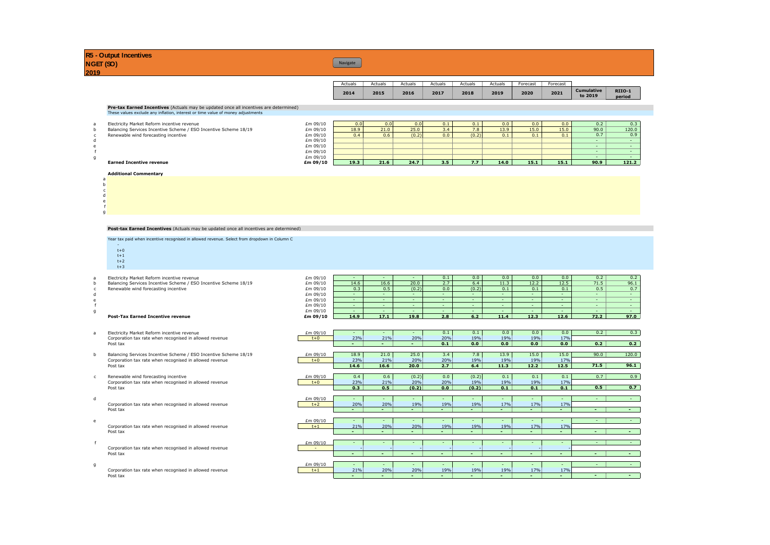| NGET(SO)       | <b>R5 - Output Incentives</b>                                                                                                                                                   |                                  | Navigate           |                    |                      |                   |                     |                    |                    |                    |                              |                         |
|----------------|---------------------------------------------------------------------------------------------------------------------------------------------------------------------------------|----------------------------------|--------------------|--------------------|----------------------|-------------------|---------------------|--------------------|--------------------|--------------------|------------------------------|-------------------------|
| 2019           |                                                                                                                                                                                 |                                  |                    |                    |                      |                   |                     |                    |                    |                    |                              |                         |
|                |                                                                                                                                                                                 |                                  | Actuals            | Actuals            | Actuals              | Actuals           | Actuals             | Actuals            | Forecast           | Forecast           |                              |                         |
|                |                                                                                                                                                                                 |                                  | 2014               | 2015               | 2016                 | 2017              | 2018                | 2019               | 2020               | 2021               | <b>Cumulative</b><br>to 2019 | <b>RIIO-1</b><br>period |
|                | <b>Pre-tax Earned Incentives</b> (Actuals may be updated once all incentives are determined)<br>These values exclude any inflation, interest or time value of money adjustments |                                  |                    |                    |                      |                   |                     |                    |                    |                    |                              |                         |
| $\overline{a}$ | Electricity Market Reform incentive revenue<br>Balancing Services Incentive Scheme / ESO Incentive Scheme 18/19<br>Renewable wind forecasting incentive                         | £m 09/10<br>£m 09/10<br>£m 09/10 | 0.0<br>18.9<br>0.4 | 0.0<br>21.0<br>0.6 | 0.0<br>25.0<br>(0.2) | 0.1<br>3.4<br>0.0 | 0.1<br>7.8<br>(0.2) | 0.0<br>13.9<br>0.1 | 0.0<br>15.0<br>0.1 | 0.0<br>15.0<br>0.1 | 0.2<br>90.0<br>0.7           | 0.3<br>120.0<br>0.9     |
|                |                                                                                                                                                                                 | £m 09/10<br>£m 09/10<br>£m 09/10 |                    |                    |                      |                   |                     |                    |                    |                    | <b>COLOR</b><br>$\sim$       |                         |

g and the contract of the contract of the contract of the contract of the contract of the contract of the contract of the contract of the contract of the contract of the contract of the contract of the contract of the cont

### **Earned Incentive revenue £m 09/10 19.3 21.6 24.7 3.5 7.7 14.0 15.1 15.1 90.9 121.2 Additional Commentary**

| a |  |
|---|--|
| b |  |
| c |  |
| d |  |
| e |  |
|   |  |

g

### **Post-tax Earned Incentives** (Actuals may be updated once all incentives are determined)

Year tax paid when incentive recognised in allowed revenue. Select from dropdown in Column C

- -<br>t+0  $t+1$ t+2
- t+3

#### a Electricity Market Reform incentive revenue<br>b Balancing Services Incentive Scheme / ESO Incentive Scheme 18/19 19/10 14.6 16.6 20.0 2.7 6.4 11.3 12.2 12.5 71.5 96.1 b Balancing Services Incentive Scheme / ESO Incentive Scheme 18/19<br>
Balancing Services Incentive Scheme / ESO Incentive Scheme 18/19<br>
Em 09/10 0.3 0.5 (0.2) 0.0 (0.2) 0.1 0.1 0.1 0.5 71.5 96.1 c Bulling Barriells and forecasting incentive Barriells and the case of the content of the content of the content<br>
d d fm 09/10 0.<br>
fm 09/10 d d £m 09/10 - - - - - - - - - e e termine de la contradicto de la contradicto de la contradicto de la contradicto de la contradicto de la co f example to the form  $f$  of  $f$  . In the form  $f$  is the form  $f$  of  $f$  is the form  $f$  of  $f$  is the form  $f$  is the form  $f$  is the form  $f$  is the form  $f$  is the form  $f$  is the form  $f$  is the form  $f$  is the form g £m 09/10 - - - - - - - - - - **Post-Tax Earned Incentive revenue £m 09/10 14.9 17.1 19.8 2.8 6.2 11.4 12.3 12.6 72.2 97.0**

|   | Electricity Market Reform incentive revenue                         | £m 09/10                 | $\overline{\phantom{a}}$ |          |       | 0.1 | 0.1   | 0.0             | 0.0    | 0.0                | 0.2  | 0.3             |
|---|---------------------------------------------------------------------|--------------------------|--------------------------|----------|-------|-----|-------|-----------------|--------|--------------------|------|-----------------|
|   | Corporation tax rate when recognised in allowed revenue             | $t+0$                    | 23%                      | 21%      | 20%   | 20% | 19%   | 19%             | 19%    | 17%                |      |                 |
|   | Post tax                                                            |                          |                          | <b>.</b> |       | 0.1 | 0.0   | 0.0             | 0.0    | 0.0                | 0.2  | 0.2             |
|   |                                                                     |                          |                          |          |       |     |       |                 |        |                    |      |                 |
|   | Balancing Services Incentive Scheme / ESO Incentive Scheme 18/19    | £m 09/10                 | 18.9                     | 21.0     | 25.0  | 3.4 | 7.8   | 13.9            | 15.0   | 15.0               | 90.0 | 120.0           |
|   | Corporation tax rate when recognised in allowed revenue             | $t+0$                    | 23%                      | 21%      | 20%   | 20% | 19%   | 19%             | 19%    | 17%                |      |                 |
|   | Post tax                                                            |                          | 14.6                     | 16.6     | 20.0  | 2.7 | 6.4   | 11.3            | 12.2   | 12.5               | 71.5 | 96.1            |
|   |                                                                     |                          |                          |          |       |     |       |                 |        |                    |      |                 |
|   | Renewable wind forecasting incentive                                | £m 09/10                 | 0.4                      | 0.6      | (0.2) | 0.0 | (0.2) | 0.1             | 0.1    | 0.1                | 0.7  | 0.9             |
|   | Corporation tax rate when recognised in allowed revenue             | $t+0$                    | 23%                      | 21%      | 20%   | 20% | 19%   | 19%             | 19%    | 17%                |      |                 |
|   | Post tax                                                            |                          | 0.3                      | 0.5      | (0.2) | 0.0 | (0.2) | 0.1             | 0.1    | 0.1                | 0.5  | 0.7             |
|   |                                                                     |                          |                          |          |       |     |       |                 |        |                    |      |                 |
|   |                                                                     | £m 09/10<br>$t+2$        | 20%                      | 20%      | 19%   | 19% | 19%   | 17%             | 17%    | 17%                |      | $\sim$          |
|   | Corporation tax rate when recognised in allowed revenue<br>Post tax |                          |                          | ۰.       | ۰     |     | ۰.    | . .             | $\sim$ | . .                |      | $\sim$ 10 $\pm$ |
|   |                                                                     |                          |                          |          |       |     |       |                 |        |                    |      |                 |
|   |                                                                     | £m 09/10                 |                          |          |       |     |       |                 |        |                    |      | <b>Section</b>  |
|   | Corporation tax rate when recognised in allowed revenue             | $t+1$                    | 21%                      | 20%      | 20%   | 19% | 19%   | 19%             | 17%    | 17%                |      |                 |
|   | Post tax                                                            |                          | ۰.                       | ۰.       | ۰.    |     | ۰.    | $\sim$ 10 $\pm$ | . .    | $\sim$ 10 $\sigma$ |      | $\sim$          |
|   |                                                                     |                          |                          |          |       |     |       |                 |        |                    |      |                 |
| £ |                                                                     | £m 09/10                 |                          |          |       |     |       |                 |        |                    |      | <b>A</b> 1      |
|   | Corporation tax rate when recognised in allowed revenue             | $\overline{\phantom{a}}$ |                          |          |       |     |       |                 |        |                    |      |                 |
|   | Post tax                                                            |                          |                          | ۰        |       |     |       | ۰               |        | н.                 |      | $\sim$ 10 $\pm$ |
|   |                                                                     |                          |                          |          |       |     |       |                 |        |                    |      |                 |
|   |                                                                     | £m 09/10                 |                          |          |       |     |       |                 |        |                    |      | $\sim$ 10 $\pm$ |
|   | Corporation tax rate when recognised in allowed revenue             | $t+1$                    | 21%                      | 20%      | 20%   | 19% | 19%   | 19%             | 17%    | 17%                |      |                 |
|   | Post tax                                                            |                          |                          |          |       |     |       | . .             |        | . .                |      | $\sim$ 10 $\pm$ |

- a Electricity Market Reform incentive revenue Corporation tax rate when recognised in allowed revenue
- b Balancing Services Incentive Scheme / ESO Incentive Sche Corporation tax rate when recognised in allowed revenue<br>Post tax
- c Renewable wind forecasting incentive Corporation tax rate when recognised in allowed revenue
- Corporation tax rate when recognised in allowed revenue
- Corporation tax rate when recognised in allowed revenue<br>Post tax
- Corporation tax rate when recognised in allowed revenue Post tax
- Corporation tax rate when recognised in allowed revenue<br>Post tax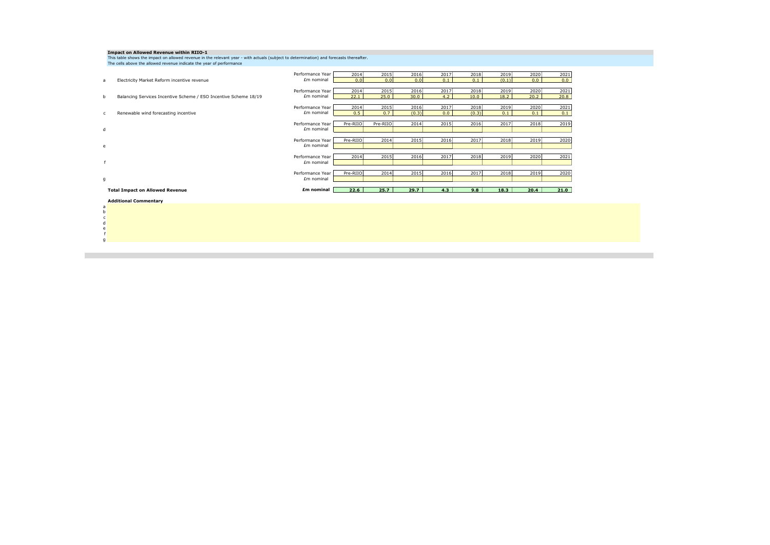|                        | Impact on Allowed Revenue within RIIO-1<br>This table shows the impact on allowed revenue in the relevant year - with actuals (subject to determination) and forecasts thereafter.<br>The cells above the allowed revenue indicate the year of performance |                                |              |              |               |             |               |               |              |              |
|------------------------|------------------------------------------------------------------------------------------------------------------------------------------------------------------------------------------------------------------------------------------------------------|--------------------------------|--------------|--------------|---------------|-------------|---------------|---------------|--------------|--------------|
| a                      | Electricity Market Reform incentive revenue                                                                                                                                                                                                                | Performance Year<br>£m nominal | 2014<br>0.0  | 2015<br>0.0  | 2016<br>0.0   | 2017<br>0.1 | 2018<br>0.1   | 2019<br>(0.1) | 2020<br>0.0  | 2021<br>0.0  |
| b                      | Balancing Services Incentive Scheme / ESO Incentive Scheme 18/19                                                                                                                                                                                           | Performance Year<br>£m nominal | 2014<br>22.1 | 2015<br>25.0 | 2016<br>30.0  | 2017<br>4.2 | 2018<br>10.0  | 2019<br>18.2  | 2020<br>20.2 | 2021<br>20.8 |
| $\mathsf{C}$           | Renewable wind forecasting incentive                                                                                                                                                                                                                       | Performance Year<br>£m nominal | 2014<br>0.5  | 2015<br>0.7  | 2016<br>(0.3) | 2017<br>0.0 | 2018<br>(0.3) | 2019<br>0.1   | 2020<br>0.1  | 2021<br>0.1  |
| d                      |                                                                                                                                                                                                                                                            | Performance Year<br>£m nominal | Pre-RIIO     | Pre-RIIO     | 2014          | 2015        | 2016          | 2017          | 2018         | 2019         |
| e                      |                                                                                                                                                                                                                                                            | Performance Year<br>£m nominal | Pre-RIIO     | 2014         | 2015          | 2016        | 2017          | 2018          | 2019         | 2020         |
|                        |                                                                                                                                                                                                                                                            | Performance Year<br>£m nominal | 2014         | 2015         | 2016          | 2017        | 2018          | 2019          | 2020         | 2021         |
| g                      |                                                                                                                                                                                                                                                            | Performance Year<br>£m nominal | Pre-RIIO     | 2014         | 2015          | 2016        | 2017          | 2018          | 2019         | 2020         |
|                        | <b>Total Impact on Allowed Revenue</b>                                                                                                                                                                                                                     | £m nominal                     | 22.6         | 25.7         | 29.7          | 4.3         | 9.8           | 18.3          | 20.4         | 21.0         |
| a<br>$\mathsf{h}$<br>d | <b>Additional Commentary</b>                                                                                                                                                                                                                               |                                |              |              |               |             |               |               |              |              |

e f g

**Contract**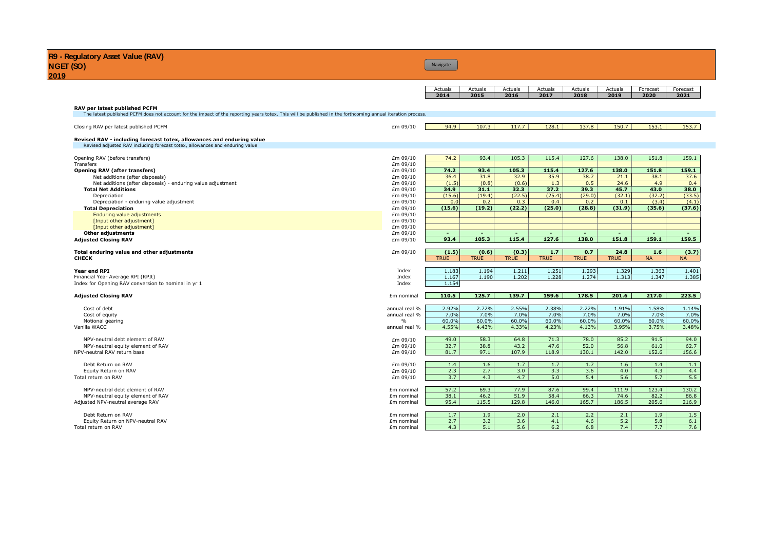# **Navigate**

| Actuals | Actuals | Actuals | Actuals | Actuals | Actuals | Forecast | Forecast |
|---------|---------|---------|---------|---------|---------|----------|----------|
| 2014    | 2015    | 2016    | 2017    | 2018    | 2019    | 2020     | 2021     |

| The latest published PCFM does not account for the impact of the reporting years totex. This will be published in the forthcoming annual iteration process.<br>94.9<br>107.3<br>£m 09/10<br>117.7<br>128.1<br>137.8<br>150.7<br>153.1<br>Closing RAV per latest published PCFM<br>Revised RAV - including forecast totex, allowances and enduring value<br>Revised adjusted RAV including forecast totex, allowances and enduring value<br>74.2<br>93.4<br>105.3<br>115.4<br>127.6<br>138.0<br>151.8<br>£m 09/10<br>Opening RAV (before transfers)<br>£m 09/10<br>Transfers<br>151.8<br>£m 09/10<br>74.2<br>93.4<br>105.3<br>115.4<br>127.6<br>138.0<br><b>Opening RAV (after transfers)</b><br>32.9<br>35.9<br>38.7<br>£m 09/10<br>36.4<br>31.8<br>21.1<br>38.1<br>Net additions (after disposals)<br>(1.5)<br>(0.8)<br>(0.6)<br>1.3<br>0.5<br>24.6<br>4.9<br>Net additions (after disposals) - enduring value adjustment<br>£m 09/10<br>34.9<br>31.1<br>32.3<br>37.2<br>39.3<br>45.7<br>43.0<br><b>Total Net Additions</b><br>£m 09/10<br>(22.5)<br>(25.4)<br>(29.0)<br>(32.2)<br>(15.6)<br>(19.4)<br>(32.1)<br>Depreciation<br>£m 09/10<br>0.0<br>0.2<br>0.3<br>0.4<br>0.2<br>(3.4)<br>£m 09/10<br>0.1<br>Depreciation - enduring value adjustment<br>(15.6)<br>(19.2)<br>(22.2)<br>(25.0)<br>(28.8)<br>(31.9)<br>(35.6)<br>£m 09/10<br><b>Total Depreciation</b><br><b>Enduring value adjustments</b><br>£m 09/10<br>[Input other adjustment]<br>£m 09/10<br>[Input other adjustment]<br>£m 09/10<br>Other adjustments<br>£m 09/10<br>$\sim$<br>٠<br>$\sim$<br>$\overline{a}$<br>٠<br>$\sim$<br>٠<br>93.4<br>105.3<br>115.4<br>127.6<br>138.0<br>151.8<br>159.1<br><b>Adjusted Closing RAV</b><br>£m 09/10<br>(1.5)<br>(0.6)<br>(0.3)<br>1.7<br>0.7<br>24.8<br>1.6<br>£m 09/10<br>Total enduring value and other adjustments<br><b>TRUE</b><br><b>TRUE</b><br><b>TRUE</b><br><b>TRUE</b><br><b>TRUE</b><br><b>TRUE</b><br><b>NA</b><br><b>CHECK</b><br>1.183<br>1.194<br>1.211<br>1.251<br>1.293<br>1.329<br>1.363<br>Year end RPI<br>Index<br>1.202<br>1.228<br>1.274<br>1.313<br>1.347<br>1.167<br>1.190<br>Financial Year Average RPI (RPIt)<br>Index<br>Index<br>1.154<br>Index for Opening RAV conversion to nominal in yr 1<br>178.5<br>217.0<br>110.5<br>125.7<br>139.7<br>159.6<br>201.6<br><b>Adjusted Closing RAV</b><br>£m nominal<br>2.92%<br>2.72%<br>2.55%<br>2.22%<br>2.38%<br>1.91%<br>Cost of debt<br>annual real %<br>annual real %<br>7.0%<br>7.0%<br>7.0%<br>$7.0\%$<br>$7.0\%$<br>7.0%<br>7.0%<br>Cost of equity<br>60.0%<br>60.0%<br>60.0%<br>60.0%<br>60.0%<br>60.0%<br>60.0%<br>Notional gearing<br>$\%$<br>4.43%<br>3.95%<br>annual real %<br>4.55%<br>4.33%<br>4.23%<br>4.13%<br>Vanilla WACC<br>49.0<br>58.3<br>64.8<br>71.3<br>78.0<br>85.2<br>91.5<br>NPV-neutral debt element of RAV<br>£m 09/10<br>32.7<br>£m 09/10<br>38.8<br>43.2<br>47.6<br>52.0<br>56.8<br>61.0<br>NPV-neutral equity element of RAV<br>97.1<br>107.9<br>118.9<br>130.1<br>142.0<br>152.6<br>81.7<br>NPV-neutral RAV return base<br>£m 09/10<br>1.4<br>1.6<br>1.7<br>1.7<br>1.7<br>1.6<br>1.4<br>£m 09/10<br>Debt Return on RAV<br>2.3<br>2.7<br>3.0<br>3.3<br>3.6<br>4.0<br>4.3<br>Equity Return on RAV<br>£m 09/10<br>3.7<br>4.3<br>4.7<br>5.0<br>5.4<br>5.6<br>5.7<br>Total return on RAV<br>£m 09/10<br>57.2<br>69.3<br>77.9<br>87.6<br>99.4<br>111.9<br>123.4<br>£m nominal<br>NPV-neutral debt element of RAV<br>38.1<br>51.9<br>58.4<br>66.3<br>74.6<br>82.2<br>£m nominal<br>46.2<br>NPV-neutral equity element of RAV<br>95.4<br>115.5<br>129.8<br>165.7<br>186.5<br>146.0<br>205.6<br>Adjusted NPV-neutral average RAV<br>£m nominal | RAV per latest published PCFM |            |     |     |     |     |     |     |       |           |
|-------------------------------------------------------------------------------------------------------------------------------------------------------------------------------------------------------------------------------------------------------------------------------------------------------------------------------------------------------------------------------------------------------------------------------------------------------------------------------------------------------------------------------------------------------------------------------------------------------------------------------------------------------------------------------------------------------------------------------------------------------------------------------------------------------------------------------------------------------------------------------------------------------------------------------------------------------------------------------------------------------------------------------------------------------------------------------------------------------------------------------------------------------------------------------------------------------------------------------------------------------------------------------------------------------------------------------------------------------------------------------------------------------------------------------------------------------------------------------------------------------------------------------------------------------------------------------------------------------------------------------------------------------------------------------------------------------------------------------------------------------------------------------------------------------------------------------------------------------------------------------------------------------------------------------------------------------------------------------------------------------------------------------------------------------------------------------------------------------------------------------------------------------------------------------------------------------------------------------------------------------------------------------------------------------------------------------------------------------------------------------------------------------------------------------------------------------------------------------------------------------------------------------------------------------------------------------------------------------------------------------------------------------------------------------------------------------------------------------------------------------------------------------------------------------------------------------------------------------------------------------------------------------------------------------------------------------------------------------------------------------------------------------------------------------------------------------------------------------------------------------------------------------------------------------------------------------------------------------------------------------------------------------------------------------------------------------------------------------------------------------------------------------------------------------------------------------------------------------------------------------------------------------------------------------------------------------------------------------------------------------------------------------|-------------------------------|------------|-----|-----|-----|-----|-----|-----|-------|-----------|
|                                                                                                                                                                                                                                                                                                                                                                                                                                                                                                                                                                                                                                                                                                                                                                                                                                                                                                                                                                                                                                                                                                                                                                                                                                                                                                                                                                                                                                                                                                                                                                                                                                                                                                                                                                                                                                                                                                                                                                                                                                                                                                                                                                                                                                                                                                                                                                                                                                                                                                                                                                                                                                                                                                                                                                                                                                                                                                                                                                                                                                                                                                                                                                                                                                                                                                                                                                                                                                                                                                                                                                                                                                                       |                               |            |     |     |     |     |     |     |       |           |
|                                                                                                                                                                                                                                                                                                                                                                                                                                                                                                                                                                                                                                                                                                                                                                                                                                                                                                                                                                                                                                                                                                                                                                                                                                                                                                                                                                                                                                                                                                                                                                                                                                                                                                                                                                                                                                                                                                                                                                                                                                                                                                                                                                                                                                                                                                                                                                                                                                                                                                                                                                                                                                                                                                                                                                                                                                                                                                                                                                                                                                                                                                                                                                                                                                                                                                                                                                                                                                                                                                                                                                                                                                                       |                               |            |     |     |     |     |     |     |       | 153.7     |
|                                                                                                                                                                                                                                                                                                                                                                                                                                                                                                                                                                                                                                                                                                                                                                                                                                                                                                                                                                                                                                                                                                                                                                                                                                                                                                                                                                                                                                                                                                                                                                                                                                                                                                                                                                                                                                                                                                                                                                                                                                                                                                                                                                                                                                                                                                                                                                                                                                                                                                                                                                                                                                                                                                                                                                                                                                                                                                                                                                                                                                                                                                                                                                                                                                                                                                                                                                                                                                                                                                                                                                                                                                                       |                               |            |     |     |     |     |     |     |       |           |
|                                                                                                                                                                                                                                                                                                                                                                                                                                                                                                                                                                                                                                                                                                                                                                                                                                                                                                                                                                                                                                                                                                                                                                                                                                                                                                                                                                                                                                                                                                                                                                                                                                                                                                                                                                                                                                                                                                                                                                                                                                                                                                                                                                                                                                                                                                                                                                                                                                                                                                                                                                                                                                                                                                                                                                                                                                                                                                                                                                                                                                                                                                                                                                                                                                                                                                                                                                                                                                                                                                                                                                                                                                                       |                               |            |     |     |     |     |     |     |       |           |
|                                                                                                                                                                                                                                                                                                                                                                                                                                                                                                                                                                                                                                                                                                                                                                                                                                                                                                                                                                                                                                                                                                                                                                                                                                                                                                                                                                                                                                                                                                                                                                                                                                                                                                                                                                                                                                                                                                                                                                                                                                                                                                                                                                                                                                                                                                                                                                                                                                                                                                                                                                                                                                                                                                                                                                                                                                                                                                                                                                                                                                                                                                                                                                                                                                                                                                                                                                                                                                                                                                                                                                                                                                                       |                               |            |     |     |     |     |     |     |       | 159.1     |
|                                                                                                                                                                                                                                                                                                                                                                                                                                                                                                                                                                                                                                                                                                                                                                                                                                                                                                                                                                                                                                                                                                                                                                                                                                                                                                                                                                                                                                                                                                                                                                                                                                                                                                                                                                                                                                                                                                                                                                                                                                                                                                                                                                                                                                                                                                                                                                                                                                                                                                                                                                                                                                                                                                                                                                                                                                                                                                                                                                                                                                                                                                                                                                                                                                                                                                                                                                                                                                                                                                                                                                                                                                                       |                               |            |     |     |     |     |     |     |       |           |
|                                                                                                                                                                                                                                                                                                                                                                                                                                                                                                                                                                                                                                                                                                                                                                                                                                                                                                                                                                                                                                                                                                                                                                                                                                                                                                                                                                                                                                                                                                                                                                                                                                                                                                                                                                                                                                                                                                                                                                                                                                                                                                                                                                                                                                                                                                                                                                                                                                                                                                                                                                                                                                                                                                                                                                                                                                                                                                                                                                                                                                                                                                                                                                                                                                                                                                                                                                                                                                                                                                                                                                                                                                                       |                               |            |     |     |     |     |     |     |       | 159.1     |
|                                                                                                                                                                                                                                                                                                                                                                                                                                                                                                                                                                                                                                                                                                                                                                                                                                                                                                                                                                                                                                                                                                                                                                                                                                                                                                                                                                                                                                                                                                                                                                                                                                                                                                                                                                                                                                                                                                                                                                                                                                                                                                                                                                                                                                                                                                                                                                                                                                                                                                                                                                                                                                                                                                                                                                                                                                                                                                                                                                                                                                                                                                                                                                                                                                                                                                                                                                                                                                                                                                                                                                                                                                                       |                               |            |     |     |     |     |     |     |       | 37.6      |
|                                                                                                                                                                                                                                                                                                                                                                                                                                                                                                                                                                                                                                                                                                                                                                                                                                                                                                                                                                                                                                                                                                                                                                                                                                                                                                                                                                                                                                                                                                                                                                                                                                                                                                                                                                                                                                                                                                                                                                                                                                                                                                                                                                                                                                                                                                                                                                                                                                                                                                                                                                                                                                                                                                                                                                                                                                                                                                                                                                                                                                                                                                                                                                                                                                                                                                                                                                                                                                                                                                                                                                                                                                                       |                               |            |     |     |     |     |     |     |       | 0.4       |
|                                                                                                                                                                                                                                                                                                                                                                                                                                                                                                                                                                                                                                                                                                                                                                                                                                                                                                                                                                                                                                                                                                                                                                                                                                                                                                                                                                                                                                                                                                                                                                                                                                                                                                                                                                                                                                                                                                                                                                                                                                                                                                                                                                                                                                                                                                                                                                                                                                                                                                                                                                                                                                                                                                                                                                                                                                                                                                                                                                                                                                                                                                                                                                                                                                                                                                                                                                                                                                                                                                                                                                                                                                                       |                               |            |     |     |     |     |     |     |       | 38.0      |
|                                                                                                                                                                                                                                                                                                                                                                                                                                                                                                                                                                                                                                                                                                                                                                                                                                                                                                                                                                                                                                                                                                                                                                                                                                                                                                                                                                                                                                                                                                                                                                                                                                                                                                                                                                                                                                                                                                                                                                                                                                                                                                                                                                                                                                                                                                                                                                                                                                                                                                                                                                                                                                                                                                                                                                                                                                                                                                                                                                                                                                                                                                                                                                                                                                                                                                                                                                                                                                                                                                                                                                                                                                                       |                               |            |     |     |     |     |     |     |       | (33.5)    |
|                                                                                                                                                                                                                                                                                                                                                                                                                                                                                                                                                                                                                                                                                                                                                                                                                                                                                                                                                                                                                                                                                                                                                                                                                                                                                                                                                                                                                                                                                                                                                                                                                                                                                                                                                                                                                                                                                                                                                                                                                                                                                                                                                                                                                                                                                                                                                                                                                                                                                                                                                                                                                                                                                                                                                                                                                                                                                                                                                                                                                                                                                                                                                                                                                                                                                                                                                                                                                                                                                                                                                                                                                                                       |                               |            |     |     |     |     |     |     |       | (4.1)     |
|                                                                                                                                                                                                                                                                                                                                                                                                                                                                                                                                                                                                                                                                                                                                                                                                                                                                                                                                                                                                                                                                                                                                                                                                                                                                                                                                                                                                                                                                                                                                                                                                                                                                                                                                                                                                                                                                                                                                                                                                                                                                                                                                                                                                                                                                                                                                                                                                                                                                                                                                                                                                                                                                                                                                                                                                                                                                                                                                                                                                                                                                                                                                                                                                                                                                                                                                                                                                                                                                                                                                                                                                                                                       |                               |            |     |     |     |     |     |     |       | (37.6)    |
|                                                                                                                                                                                                                                                                                                                                                                                                                                                                                                                                                                                                                                                                                                                                                                                                                                                                                                                                                                                                                                                                                                                                                                                                                                                                                                                                                                                                                                                                                                                                                                                                                                                                                                                                                                                                                                                                                                                                                                                                                                                                                                                                                                                                                                                                                                                                                                                                                                                                                                                                                                                                                                                                                                                                                                                                                                                                                                                                                                                                                                                                                                                                                                                                                                                                                                                                                                                                                                                                                                                                                                                                                                                       |                               |            |     |     |     |     |     |     |       |           |
|                                                                                                                                                                                                                                                                                                                                                                                                                                                                                                                                                                                                                                                                                                                                                                                                                                                                                                                                                                                                                                                                                                                                                                                                                                                                                                                                                                                                                                                                                                                                                                                                                                                                                                                                                                                                                                                                                                                                                                                                                                                                                                                                                                                                                                                                                                                                                                                                                                                                                                                                                                                                                                                                                                                                                                                                                                                                                                                                                                                                                                                                                                                                                                                                                                                                                                                                                                                                                                                                                                                                                                                                                                                       |                               |            |     |     |     |     |     |     |       |           |
|                                                                                                                                                                                                                                                                                                                                                                                                                                                                                                                                                                                                                                                                                                                                                                                                                                                                                                                                                                                                                                                                                                                                                                                                                                                                                                                                                                                                                                                                                                                                                                                                                                                                                                                                                                                                                                                                                                                                                                                                                                                                                                                                                                                                                                                                                                                                                                                                                                                                                                                                                                                                                                                                                                                                                                                                                                                                                                                                                                                                                                                                                                                                                                                                                                                                                                                                                                                                                                                                                                                                                                                                                                                       |                               |            |     |     |     |     |     |     |       |           |
|                                                                                                                                                                                                                                                                                                                                                                                                                                                                                                                                                                                                                                                                                                                                                                                                                                                                                                                                                                                                                                                                                                                                                                                                                                                                                                                                                                                                                                                                                                                                                                                                                                                                                                                                                                                                                                                                                                                                                                                                                                                                                                                                                                                                                                                                                                                                                                                                                                                                                                                                                                                                                                                                                                                                                                                                                                                                                                                                                                                                                                                                                                                                                                                                                                                                                                                                                                                                                                                                                                                                                                                                                                                       |                               |            |     |     |     |     |     |     |       | $\sim$    |
|                                                                                                                                                                                                                                                                                                                                                                                                                                                                                                                                                                                                                                                                                                                                                                                                                                                                                                                                                                                                                                                                                                                                                                                                                                                                                                                                                                                                                                                                                                                                                                                                                                                                                                                                                                                                                                                                                                                                                                                                                                                                                                                                                                                                                                                                                                                                                                                                                                                                                                                                                                                                                                                                                                                                                                                                                                                                                                                                                                                                                                                                                                                                                                                                                                                                                                                                                                                                                                                                                                                                                                                                                                                       |                               |            |     |     |     |     |     |     |       | 159.5     |
|                                                                                                                                                                                                                                                                                                                                                                                                                                                                                                                                                                                                                                                                                                                                                                                                                                                                                                                                                                                                                                                                                                                                                                                                                                                                                                                                                                                                                                                                                                                                                                                                                                                                                                                                                                                                                                                                                                                                                                                                                                                                                                                                                                                                                                                                                                                                                                                                                                                                                                                                                                                                                                                                                                                                                                                                                                                                                                                                                                                                                                                                                                                                                                                                                                                                                                                                                                                                                                                                                                                                                                                                                                                       |                               |            |     |     |     |     |     |     |       | (3.7)     |
|                                                                                                                                                                                                                                                                                                                                                                                                                                                                                                                                                                                                                                                                                                                                                                                                                                                                                                                                                                                                                                                                                                                                                                                                                                                                                                                                                                                                                                                                                                                                                                                                                                                                                                                                                                                                                                                                                                                                                                                                                                                                                                                                                                                                                                                                                                                                                                                                                                                                                                                                                                                                                                                                                                                                                                                                                                                                                                                                                                                                                                                                                                                                                                                                                                                                                                                                                                                                                                                                                                                                                                                                                                                       |                               |            |     |     |     |     |     |     |       | <b>NA</b> |
|                                                                                                                                                                                                                                                                                                                                                                                                                                                                                                                                                                                                                                                                                                                                                                                                                                                                                                                                                                                                                                                                                                                                                                                                                                                                                                                                                                                                                                                                                                                                                                                                                                                                                                                                                                                                                                                                                                                                                                                                                                                                                                                                                                                                                                                                                                                                                                                                                                                                                                                                                                                                                                                                                                                                                                                                                                                                                                                                                                                                                                                                                                                                                                                                                                                                                                                                                                                                                                                                                                                                                                                                                                                       |                               |            |     |     |     |     |     |     |       |           |
|                                                                                                                                                                                                                                                                                                                                                                                                                                                                                                                                                                                                                                                                                                                                                                                                                                                                                                                                                                                                                                                                                                                                                                                                                                                                                                                                                                                                                                                                                                                                                                                                                                                                                                                                                                                                                                                                                                                                                                                                                                                                                                                                                                                                                                                                                                                                                                                                                                                                                                                                                                                                                                                                                                                                                                                                                                                                                                                                                                                                                                                                                                                                                                                                                                                                                                                                                                                                                                                                                                                                                                                                                                                       |                               |            |     |     |     |     |     |     |       | 1.401     |
|                                                                                                                                                                                                                                                                                                                                                                                                                                                                                                                                                                                                                                                                                                                                                                                                                                                                                                                                                                                                                                                                                                                                                                                                                                                                                                                                                                                                                                                                                                                                                                                                                                                                                                                                                                                                                                                                                                                                                                                                                                                                                                                                                                                                                                                                                                                                                                                                                                                                                                                                                                                                                                                                                                                                                                                                                                                                                                                                                                                                                                                                                                                                                                                                                                                                                                                                                                                                                                                                                                                                                                                                                                                       |                               |            |     |     |     |     |     |     |       | 1.385     |
|                                                                                                                                                                                                                                                                                                                                                                                                                                                                                                                                                                                                                                                                                                                                                                                                                                                                                                                                                                                                                                                                                                                                                                                                                                                                                                                                                                                                                                                                                                                                                                                                                                                                                                                                                                                                                                                                                                                                                                                                                                                                                                                                                                                                                                                                                                                                                                                                                                                                                                                                                                                                                                                                                                                                                                                                                                                                                                                                                                                                                                                                                                                                                                                                                                                                                                                                                                                                                                                                                                                                                                                                                                                       |                               |            |     |     |     |     |     |     |       |           |
|                                                                                                                                                                                                                                                                                                                                                                                                                                                                                                                                                                                                                                                                                                                                                                                                                                                                                                                                                                                                                                                                                                                                                                                                                                                                                                                                                                                                                                                                                                                                                                                                                                                                                                                                                                                                                                                                                                                                                                                                                                                                                                                                                                                                                                                                                                                                                                                                                                                                                                                                                                                                                                                                                                                                                                                                                                                                                                                                                                                                                                                                                                                                                                                                                                                                                                                                                                                                                                                                                                                                                                                                                                                       |                               |            |     |     |     |     |     |     |       | 223.5     |
|                                                                                                                                                                                                                                                                                                                                                                                                                                                                                                                                                                                                                                                                                                                                                                                                                                                                                                                                                                                                                                                                                                                                                                                                                                                                                                                                                                                                                                                                                                                                                                                                                                                                                                                                                                                                                                                                                                                                                                                                                                                                                                                                                                                                                                                                                                                                                                                                                                                                                                                                                                                                                                                                                                                                                                                                                                                                                                                                                                                                                                                                                                                                                                                                                                                                                                                                                                                                                                                                                                                                                                                                                                                       |                               |            |     |     |     |     |     |     | 1.58% | 1.14%     |
|                                                                                                                                                                                                                                                                                                                                                                                                                                                                                                                                                                                                                                                                                                                                                                                                                                                                                                                                                                                                                                                                                                                                                                                                                                                                                                                                                                                                                                                                                                                                                                                                                                                                                                                                                                                                                                                                                                                                                                                                                                                                                                                                                                                                                                                                                                                                                                                                                                                                                                                                                                                                                                                                                                                                                                                                                                                                                                                                                                                                                                                                                                                                                                                                                                                                                                                                                                                                                                                                                                                                                                                                                                                       |                               |            |     |     |     |     |     |     |       | 7.0%      |
|                                                                                                                                                                                                                                                                                                                                                                                                                                                                                                                                                                                                                                                                                                                                                                                                                                                                                                                                                                                                                                                                                                                                                                                                                                                                                                                                                                                                                                                                                                                                                                                                                                                                                                                                                                                                                                                                                                                                                                                                                                                                                                                                                                                                                                                                                                                                                                                                                                                                                                                                                                                                                                                                                                                                                                                                                                                                                                                                                                                                                                                                                                                                                                                                                                                                                                                                                                                                                                                                                                                                                                                                                                                       |                               |            |     |     |     |     |     |     |       | 60.0%     |
|                                                                                                                                                                                                                                                                                                                                                                                                                                                                                                                                                                                                                                                                                                                                                                                                                                                                                                                                                                                                                                                                                                                                                                                                                                                                                                                                                                                                                                                                                                                                                                                                                                                                                                                                                                                                                                                                                                                                                                                                                                                                                                                                                                                                                                                                                                                                                                                                                                                                                                                                                                                                                                                                                                                                                                                                                                                                                                                                                                                                                                                                                                                                                                                                                                                                                                                                                                                                                                                                                                                                                                                                                                                       |                               |            |     |     |     |     |     |     | 3.75% | 3.48%     |
|                                                                                                                                                                                                                                                                                                                                                                                                                                                                                                                                                                                                                                                                                                                                                                                                                                                                                                                                                                                                                                                                                                                                                                                                                                                                                                                                                                                                                                                                                                                                                                                                                                                                                                                                                                                                                                                                                                                                                                                                                                                                                                                                                                                                                                                                                                                                                                                                                                                                                                                                                                                                                                                                                                                                                                                                                                                                                                                                                                                                                                                                                                                                                                                                                                                                                                                                                                                                                                                                                                                                                                                                                                                       |                               |            |     |     |     |     |     |     |       | 94.0      |
|                                                                                                                                                                                                                                                                                                                                                                                                                                                                                                                                                                                                                                                                                                                                                                                                                                                                                                                                                                                                                                                                                                                                                                                                                                                                                                                                                                                                                                                                                                                                                                                                                                                                                                                                                                                                                                                                                                                                                                                                                                                                                                                                                                                                                                                                                                                                                                                                                                                                                                                                                                                                                                                                                                                                                                                                                                                                                                                                                                                                                                                                                                                                                                                                                                                                                                                                                                                                                                                                                                                                                                                                                                                       |                               |            |     |     |     |     |     |     |       | 62.7      |
|                                                                                                                                                                                                                                                                                                                                                                                                                                                                                                                                                                                                                                                                                                                                                                                                                                                                                                                                                                                                                                                                                                                                                                                                                                                                                                                                                                                                                                                                                                                                                                                                                                                                                                                                                                                                                                                                                                                                                                                                                                                                                                                                                                                                                                                                                                                                                                                                                                                                                                                                                                                                                                                                                                                                                                                                                                                                                                                                                                                                                                                                                                                                                                                                                                                                                                                                                                                                                                                                                                                                                                                                                                                       |                               |            |     |     |     |     |     |     |       | 156.6     |
|                                                                                                                                                                                                                                                                                                                                                                                                                                                                                                                                                                                                                                                                                                                                                                                                                                                                                                                                                                                                                                                                                                                                                                                                                                                                                                                                                                                                                                                                                                                                                                                                                                                                                                                                                                                                                                                                                                                                                                                                                                                                                                                                                                                                                                                                                                                                                                                                                                                                                                                                                                                                                                                                                                                                                                                                                                                                                                                                                                                                                                                                                                                                                                                                                                                                                                                                                                                                                                                                                                                                                                                                                                                       |                               |            |     |     |     |     |     |     |       |           |
|                                                                                                                                                                                                                                                                                                                                                                                                                                                                                                                                                                                                                                                                                                                                                                                                                                                                                                                                                                                                                                                                                                                                                                                                                                                                                                                                                                                                                                                                                                                                                                                                                                                                                                                                                                                                                                                                                                                                                                                                                                                                                                                                                                                                                                                                                                                                                                                                                                                                                                                                                                                                                                                                                                                                                                                                                                                                                                                                                                                                                                                                                                                                                                                                                                                                                                                                                                                                                                                                                                                                                                                                                                                       |                               |            |     |     |     |     |     |     |       | 1.1       |
|                                                                                                                                                                                                                                                                                                                                                                                                                                                                                                                                                                                                                                                                                                                                                                                                                                                                                                                                                                                                                                                                                                                                                                                                                                                                                                                                                                                                                                                                                                                                                                                                                                                                                                                                                                                                                                                                                                                                                                                                                                                                                                                                                                                                                                                                                                                                                                                                                                                                                                                                                                                                                                                                                                                                                                                                                                                                                                                                                                                                                                                                                                                                                                                                                                                                                                                                                                                                                                                                                                                                                                                                                                                       |                               |            |     |     |     |     |     |     |       | 4.4       |
|                                                                                                                                                                                                                                                                                                                                                                                                                                                                                                                                                                                                                                                                                                                                                                                                                                                                                                                                                                                                                                                                                                                                                                                                                                                                                                                                                                                                                                                                                                                                                                                                                                                                                                                                                                                                                                                                                                                                                                                                                                                                                                                                                                                                                                                                                                                                                                                                                                                                                                                                                                                                                                                                                                                                                                                                                                                                                                                                                                                                                                                                                                                                                                                                                                                                                                                                                                                                                                                                                                                                                                                                                                                       |                               |            |     |     |     |     |     |     |       | 5.5       |
|                                                                                                                                                                                                                                                                                                                                                                                                                                                                                                                                                                                                                                                                                                                                                                                                                                                                                                                                                                                                                                                                                                                                                                                                                                                                                                                                                                                                                                                                                                                                                                                                                                                                                                                                                                                                                                                                                                                                                                                                                                                                                                                                                                                                                                                                                                                                                                                                                                                                                                                                                                                                                                                                                                                                                                                                                                                                                                                                                                                                                                                                                                                                                                                                                                                                                                                                                                                                                                                                                                                                                                                                                                                       |                               |            |     |     |     |     |     |     |       | 130.2     |
|                                                                                                                                                                                                                                                                                                                                                                                                                                                                                                                                                                                                                                                                                                                                                                                                                                                                                                                                                                                                                                                                                                                                                                                                                                                                                                                                                                                                                                                                                                                                                                                                                                                                                                                                                                                                                                                                                                                                                                                                                                                                                                                                                                                                                                                                                                                                                                                                                                                                                                                                                                                                                                                                                                                                                                                                                                                                                                                                                                                                                                                                                                                                                                                                                                                                                                                                                                                                                                                                                                                                                                                                                                                       |                               |            |     |     |     |     |     |     |       | 86.8      |
|                                                                                                                                                                                                                                                                                                                                                                                                                                                                                                                                                                                                                                                                                                                                                                                                                                                                                                                                                                                                                                                                                                                                                                                                                                                                                                                                                                                                                                                                                                                                                                                                                                                                                                                                                                                                                                                                                                                                                                                                                                                                                                                                                                                                                                                                                                                                                                                                                                                                                                                                                                                                                                                                                                                                                                                                                                                                                                                                                                                                                                                                                                                                                                                                                                                                                                                                                                                                                                                                                                                                                                                                                                                       |                               |            |     |     |     |     |     |     |       | 216.9     |
|                                                                                                                                                                                                                                                                                                                                                                                                                                                                                                                                                                                                                                                                                                                                                                                                                                                                                                                                                                                                                                                                                                                                                                                                                                                                                                                                                                                                                                                                                                                                                                                                                                                                                                                                                                                                                                                                                                                                                                                                                                                                                                                                                                                                                                                                                                                                                                                                                                                                                                                                                                                                                                                                                                                                                                                                                                                                                                                                                                                                                                                                                                                                                                                                                                                                                                                                                                                                                                                                                                                                                                                                                                                       |                               | £m nominal | 1.7 | 1.9 | 2.0 | 2.1 | 2.2 | 2.1 | 1.9   | 1.5       |
| 2.7<br>3.2<br>3.6<br>5.2<br>5.8<br>Equity Return on NPV-neutral RAV<br>4.1<br>4.6<br>£m nominal                                                                                                                                                                                                                                                                                                                                                                                                                                                                                                                                                                                                                                                                                                                                                                                                                                                                                                                                                                                                                                                                                                                                                                                                                                                                                                                                                                                                                                                                                                                                                                                                                                                                                                                                                                                                                                                                                                                                                                                                                                                                                                                                                                                                                                                                                                                                                                                                                                                                                                                                                                                                                                                                                                                                                                                                                                                                                                                                                                                                                                                                                                                                                                                                                                                                                                                                                                                                                                                                                                                                                       |                               |            |     |     |     |     |     |     |       |           |
| 4.3<br>5.1<br>5.6<br>6.2<br>6.8<br>7.4<br>7.7<br>Total return on RAV<br>£m nominal                                                                                                                                                                                                                                                                                                                                                                                                                                                                                                                                                                                                                                                                                                                                                                                                                                                                                                                                                                                                                                                                                                                                                                                                                                                                                                                                                                                                                                                                                                                                                                                                                                                                                                                                                                                                                                                                                                                                                                                                                                                                                                                                                                                                                                                                                                                                                                                                                                                                                                                                                                                                                                                                                                                                                                                                                                                                                                                                                                                                                                                                                                                                                                                                                                                                                                                                                                                                                                                                                                                                                                    | Debt Return on RAV            |            |     |     |     |     |     |     |       | 6.1       |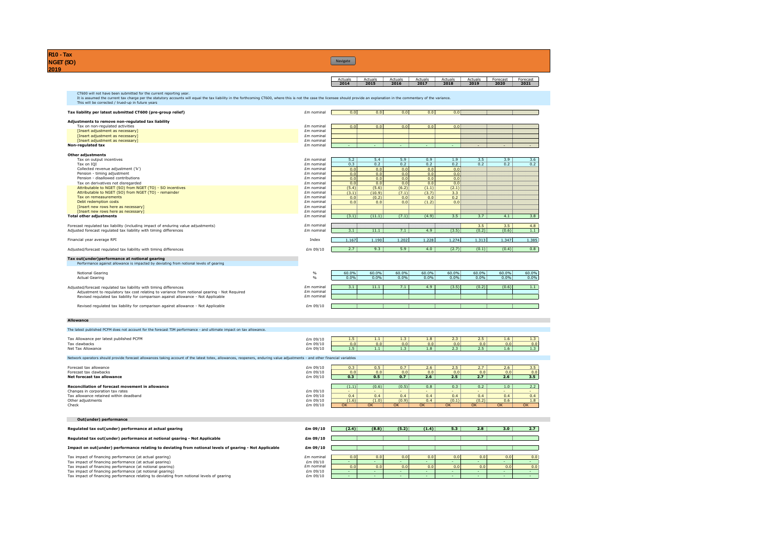**R10 - Tax NGET (SO) 2019**

Actuals Actuals Actuals Actuals Actuals Actuals Forecast Forecast **2014 2015 2016 2017 2018 2019 2020 2021** CT600 will not have been submitted for the current reporting year. It is assumed the current tax charge per the statutory accounts will equal the tax liability in the forthcoming CT600, where this is not the case the licensee should provide an explanation in the commentary of the variance. This will be corrected / trued-up in future years **Tax liability per latest submitted CT600 (pre-group relief)** £m nominal 0.0 0.0 0.0 0.0 0.0 **Navigate** 

**Adjustments to remove non-regulated tax liability** Tax on non-regulated activities £m nominal 0.0 0.0 0.0 0.0 0.0 [Insert adjustment as necessary] £m nominal entropies adjustment as necessary]<br>
Empert adjustment as necessary]<br>
Empert adjustment as necessary] example and the control of the control of the control of the control of the control of the control of the control of the control of the control of the control of the control of the control of the control of the control of **h** nominal the set of the set of the set of the set of the set of the set of the set of the set of the set of the set of the set of the set of the set of the set of the set of the set of the set of the set of the set of t **Other adjustments**<br>
Tax on output incentives<br>
Tax on 1Q1 times that the community of the mominal contract of the component of the contract of the contract of t<br>
Em nominal contract of the contract of the contract of the c

| Collected revenue adjustment ('k')                                                | Em nominal | 0.0   | 0.0    | 0.0   | 0.0              | 0.0   |       |       |       |
|-----------------------------------------------------------------------------------|------------|-------|--------|-------|------------------|-------|-------|-------|-------|
| Pension - timing adjustment                                                       | Em nominal | 0.0   | 0.0    | 0.0   | 0.0 <sub>1</sub> | 0.0   |       |       |       |
| Pension - disallowed contributions                                                | £m nominal | 0.0   | 0.0    | 0.0   | 0.0 <sub>1</sub> | 0.0   |       |       |       |
| Tax on derivatives not disregarded                                                | £m nominal | 0.0   | 0.0    | 0.0   | 0.0              | 0.0   |       |       |       |
| Attributable to NGET (SO) from NGET (TO) - SO incentives                          | £m nominal | (5.4) | (5.6)  | (6.2) | (1.1)            | (2.1) |       |       |       |
| Attributable to NGET (SO) from NGET (TO) - remainder                              | £m nominal | (3.1) | (10.9) | (7.1) | (3.7)            | 3.3   |       |       |       |
| Tax on remeasurements                                                             | £m nominal | 0.0   | (0.2)  | 0.0   | 0.0              | 0.2   |       |       |       |
| Debt redemption costs                                                             | £m nominal | 0.0   | 0.0    | 0.0   | (1.2)            | 0.0   |       |       |       |
| [Insert new rows here as necessary]                                               | £m nominal |       |        |       |                  |       |       |       |       |
| [Insert new rows here as necessary]                                               | Em nominal |       |        |       |                  |       |       |       |       |
| <b>Total other adiustments</b>                                                    | Em nominal | (3.1) | (11.1) | (7.1) | (4.9)            | 3.5   | 3.7   | 4.1   | 3.8   |
|                                                                                   |            |       |        |       |                  |       |       |       |       |
| Forecast regulated tax liability (including impact of enduring value adjustments) | Em nominal |       |        |       |                  |       | 3.5   | 3.5   | 4.8   |
| Adjusted forecast regulated tax liability with timing differences                 | Em nominal | 3.1   | 11.1   | 7.1   | 4.9              | (3.5) | (0.2) | (0.6) | 1.1   |
| Financial year average RPI                                                        | Index      | .167  | .190   | 1.202 | 1.228            | 1.274 | 1.313 | 1.347 | 1.385 |
| Adjusted/forecast requlated tax liability with timing differences                 | £m 09/10   | 2.7   | 9.3    | 5.9   | 4.0              | (2.7) | (0.1) | (0.4) | 0.8   |
|                                                                                   |            |       |        |       |                  |       |       |       |       |

### **Tax out(under)performance at notional gearing** Performance against allowance is impacted by deviating from notional levels of gearing

| Notional Gearing<br>Actual Gearing                                                                                                                                               |                          | 60.0%<br>0.0% | 60.0%<br>0.0% | 60.0%<br>0.0% | 60.0%<br>0.0% | 60.0%<br>0.0% | 60.0%<br>0.0% | 60.0%<br>0.0% | 60.0%<br>0.0% |
|----------------------------------------------------------------------------------------------------------------------------------------------------------------------------------|--------------------------|---------------|---------------|---------------|---------------|---------------|---------------|---------------|---------------|
| Adjusted/forecast requlated tax liability with timing differences                                                                                                                | Em nominal               |               | 11.1          |               | 4.9           | (3.5)         | (0.2)         | (0.6)         |               |
| Adjustment to regulatory tax cost relating to variance from notional gearing - Not Reguired<br>Revised regulated tax liability for comparison against allowance - Not Applicable | Em nominal<br>£m nominal |               |               |               |               |               |               |               |               |
| Revised requlated tax liability for comparison against allowance - Not Applicable                                                                                                | £m 09/10                 |               |               |               |               |               |               |               |               |

#### **Allowance**

The latest published PCFM does not account for the forecast TIM performance - and ultimate impact on tax allowance. Tax Allowance per latest published PCFM **Em 2010** 1.5 1.1 1.2 1.3 1.1 1.3 1.8 2.3 2.5 1.6 1.3<br>1.5 Tax clawbacks Tax clawbacks £m 09/10 0.0 0.0 0.0 0.0 0.0 0.0 0.0 0.0 1.5 1.1 1.3 1.8 2.3 2.5 1.6 1.6 1.3 2.5 1.6 1.1 1.3 2.5 1.6 1.1 1.3 1.3 2.5 1.6 1.3 1.3 1.4 2.5 1.6 1.3 1.3 1. Network operators should provide forecast allowances taking account of the latest totex, allowances, reopeners, enduring value adjustments - and other financial variables

| Forecast tax allowance                           | £m 09/10 | 0.3   | 0.5   | 0.7   | 2.6 | 2.5    | 2.7   | 2.6              | 3.5 |
|--------------------------------------------------|----------|-------|-------|-------|-----|--------|-------|------------------|-----|
| Forecast tax clawbacks                           | £m 09/10 | 0.0   | 0.0   | 0.0   | 0.0 | 0.0    | 0.0   | 0.0              | 0.0 |
| Net forecast tax allowance                       | £m 09/10 | 0.3   | 0.5   | 0.7   | 2.6 | 2.5    | 2.7   | 2.6              | 3.5 |
|                                                  |          |       |       |       |     |        |       |                  |     |
| Reconciliation of forecast movement in allowance |          | (1.1) | (0.6) | (0.5) | 0.8 | 0.3    | 0.2   | 1.0 <sub>1</sub> | 2.2 |
| Changes in corporation tax rates                 | £m 09/10 |       |       |       |     |        |       | . .              |     |
| Tax allowance retained within deadband           | £m 09/10 | 0.4   | 0.4   | 0.4   | 0.4 | 0.4    | 0.4   | 0.4              | 0.4 |
| Other adjustments                                | £m 09/10 | (1.6) | (1.0) | (0.9) | 0.4 | (0.1)  | (0.2) | 0.6              | 1.8 |
| Check                                            | £m 09/10 | OK    | OK    | OK    | OK  | $\sim$ |       |                  | OK  |
|                                                  |          |       |       |       |     |        |       |                  |     |

### **Out(under) performance**

| Regulated tax out(under) performance at actual gearing                                                  | £m 09/10   | (2.4) | (8.8) | (5.2)            | (1.4) | 5.3 | 2.8 | 3.0 | 2.7 |
|---------------------------------------------------------------------------------------------------------|------------|-------|-------|------------------|-------|-----|-----|-----|-----|
| Regulated tax out(under) performance at notional gearing - Not Applicable                               | £m 09/10   |       |       |                  |       |     |     |     |     |
| Impact on out(under) performance relating to deviating from notional levels of gearing - Not Applicable | £m 09/10   |       |       |                  |       |     |     |     |     |
| Tax impact of financing performance (at actual gearing)                                                 | £m nominal | 0.0   | 0.0   | 0.0              | 0.0   | 0.0 | 0.0 | 0.0 | 0.0 |
| Tax impact of financing performance (at actual gearing)                                                 | £m 09/10   |       |       |                  |       |     |     |     |     |
| Tax impact of financing performance (at notional gearing)                                               | Em nominal | 0.0   | 0.0   | 0.0 <sub>1</sub> | 0.0   |     | 0.0 | 0.0 | 0.0 |
| Tax impact of financing performance (at notional gearing)                                               | £m 09/10   |       |       |                  |       |     |     |     |     |
| Tax impact of financing performance relating to deviating from notional levels of gearing               | £m 09/10   |       |       |                  |       |     |     |     |     |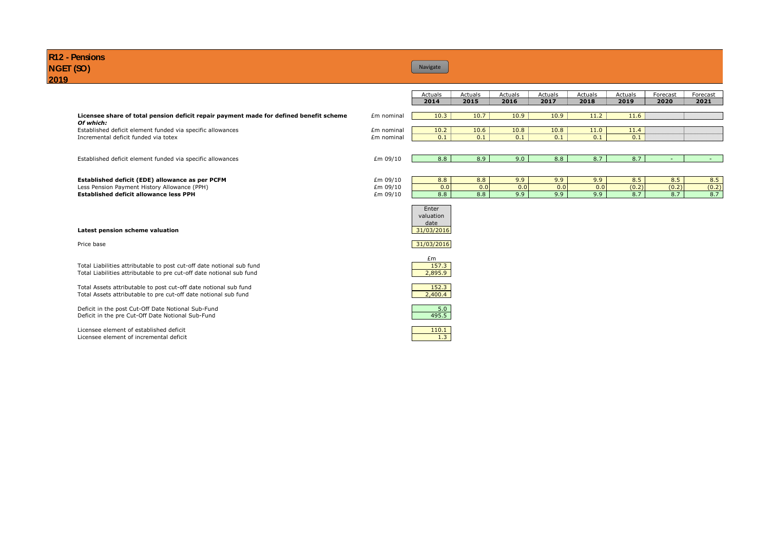| R <sub>12</sub> - Pensions<br>NGET (SO)<br>2019                                                                                                                                                                                                                                                                                                                                                 |            | Navigate                                                   |         |         |         |         |         |          |                   |
|-------------------------------------------------------------------------------------------------------------------------------------------------------------------------------------------------------------------------------------------------------------------------------------------------------------------------------------------------------------------------------------------------|------------|------------------------------------------------------------|---------|---------|---------|---------|---------|----------|-------------------|
|                                                                                                                                                                                                                                                                                                                                                                                                 |            | Actuals                                                    | Actuals | Actuals | Actuals | Actuals | Actuals | Forecast | Forecast          |
|                                                                                                                                                                                                                                                                                                                                                                                                 |            | 2014                                                       | 2015    | 2016    | 2017    | 2018    | 2019    | 2020     | 2021              |
| Licensee share of total pension deficit repair payment made for defined benefit scheme<br>Of which:                                                                                                                                                                                                                                                                                             | Em nominal | 10.3                                                       | 10.7    | 10.9    | 10.9    | 11.2    | 11.6    |          |                   |
| Established deficit element funded via specific allowances                                                                                                                                                                                                                                                                                                                                      | £m nominal | 10.2                                                       | 10.6    | 10.8    | 10.8    | 11.0    | 11.4    |          |                   |
| Incremental deficit funded via totex                                                                                                                                                                                                                                                                                                                                                            | £m nominal | 0.1                                                        | 0.1     | 0.1     | 0.1     | 0.1     | 0.1     |          |                   |
|                                                                                                                                                                                                                                                                                                                                                                                                 |            |                                                            |         |         |         |         |         |          |                   |
| Established deficit element funded via specific allowances                                                                                                                                                                                                                                                                                                                                      | £m 09/10   | 8.8                                                        | 8.9     | 9.0     | 8.8     | 8.7     | 8.7     |          |                   |
|                                                                                                                                                                                                                                                                                                                                                                                                 |            |                                                            |         |         |         |         |         |          |                   |
| Established deficit (EDE) allowance as per PCFM                                                                                                                                                                                                                                                                                                                                                 | £m 09/10   | 8.8                                                        | 8.8     | 9.9     | 9.9     | 9.9     | 8.5     | 8.5      | 8.5               |
| Less Pension Payment History Allowance (PPH)                                                                                                                                                                                                                                                                                                                                                    | £m 09/10   | 0.0                                                        | 0.0     | 0.0     | 0.0     | 0.0     | (0.2)   | (0.2)    | $rac{(0.2)}{8.7}$ |
| <b>Established deficit allowance less PPH</b>                                                                                                                                                                                                                                                                                                                                                   | £m 09/10   | 8.8                                                        | 8.8     | 9.9     | 9.9     | 9.9     | 8.7     | 8.7      |                   |
| Latest pension scheme valuation                                                                                                                                                                                                                                                                                                                                                                 |            | Enter<br>valuation<br>date<br>31/03/2016                   |         |         |         |         |         |          |                   |
| Price base                                                                                                                                                                                                                                                                                                                                                                                      |            | 31/03/2016                                                 |         |         |         |         |         |          |                   |
| Total Liabilities attributable to post cut-off date notional sub fund<br>Total Liabilities attributable to pre cut-off date notional sub fund<br>Total Assets attributable to post cut-off date notional sub fund<br>Total Assets attributable to pre cut-off date notional sub fund<br>Deficit in the post Cut-Off Date Notional Sub-Fund<br>Deficit in the pre Cut-Off Date Notional Sub-Fund |            | £m<br>157.3<br>2,895.9<br>152.3<br>2,400.4<br>5.0<br>495.5 |         |         |         |         |         |          |                   |

Licensee element of established deficit and the set of the set of the set of the set of the set of the set of the set of the set of the set of the set of the set of the set of the set of the set of the set of the set of th Licensee element of incremental deficit